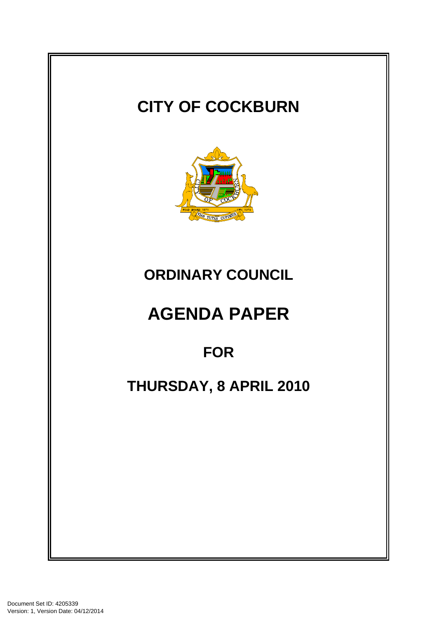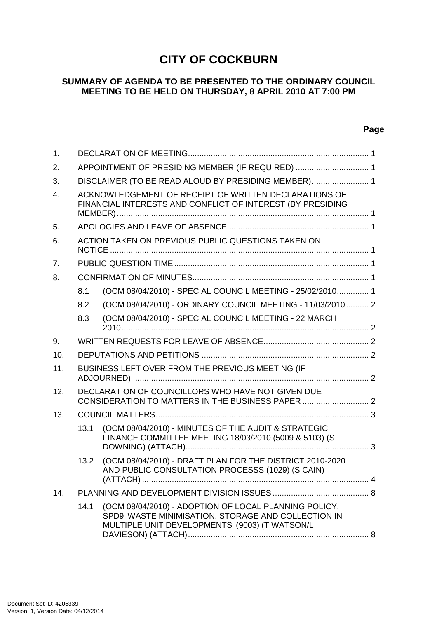# **CITY OF COCKBURN**

## **SUMMARY OF AGENDA TO BE PRESENTED TO THE ORDINARY COUNCIL MEETING TO BE HELD ON THURSDAY, 8 APRIL 2010 AT 7:00 PM**

## **Page**

 $\sim$   $\sim$ 

| 1.             |                                                                                                                     |                                                                                                                                                                |  |  |  |
|----------------|---------------------------------------------------------------------------------------------------------------------|----------------------------------------------------------------------------------------------------------------------------------------------------------------|--|--|--|
| 2.             | APPOINTMENT OF PRESIDING MEMBER (IF REQUIRED)  1                                                                    |                                                                                                                                                                |  |  |  |
| 3.             | DISCLAIMER (TO BE READ ALOUD BY PRESIDING MEMBER) 1                                                                 |                                                                                                                                                                |  |  |  |
| $\mathbf{4}$ . | ACKNOWLEDGEMENT OF RECEIPT OF WRITTEN DECLARATIONS OF<br>FINANCIAL INTERESTS AND CONFLICT OF INTEREST (BY PRESIDING |                                                                                                                                                                |  |  |  |
| 5.             |                                                                                                                     |                                                                                                                                                                |  |  |  |
| 6.             | ACTION TAKEN ON PREVIOUS PUBLIC QUESTIONS TAKEN ON                                                                  |                                                                                                                                                                |  |  |  |
| 7.             |                                                                                                                     |                                                                                                                                                                |  |  |  |
| 8.             |                                                                                                                     |                                                                                                                                                                |  |  |  |
|                | 8.1                                                                                                                 | (OCM 08/04/2010) - SPECIAL COUNCIL MEETING - 25/02/2010 1                                                                                                      |  |  |  |
|                | 8.2                                                                                                                 | (OCM 08/04/2010) - ORDINARY COUNCIL MEETING - 11/03/2010 2                                                                                                     |  |  |  |
|                | 8.3                                                                                                                 | (OCM 08/04/2010) - SPECIAL COUNCIL MEETING - 22 MARCH                                                                                                          |  |  |  |
| 9.             |                                                                                                                     |                                                                                                                                                                |  |  |  |
| 10.            |                                                                                                                     |                                                                                                                                                                |  |  |  |
| 11.            | BUSINESS LEFT OVER FROM THE PREVIOUS MEETING (IF                                                                    |                                                                                                                                                                |  |  |  |
| 12.            | DECLARATION OF COUNCILLORS WHO HAVE NOT GIVEN DUE                                                                   |                                                                                                                                                                |  |  |  |
| 13.            |                                                                                                                     |                                                                                                                                                                |  |  |  |
|                | 13.1                                                                                                                | (OCM 08/04/2010) - MINUTES OF THE AUDIT & STRATEGIC<br>FINANCE COMMITTEE MEETING 18/03/2010 (5009 & 5103) (S                                                   |  |  |  |
|                | 13.2                                                                                                                | (OCM 08/04/2010) - DRAFT PLAN FOR THE DISTRICT 2010-2020<br>AND PUBLIC CONSULTATION PROCESSS (1029) (S CAIN)                                                   |  |  |  |
| 14.            |                                                                                                                     |                                                                                                                                                                |  |  |  |
|                | 14.1                                                                                                                | (OCM 08/04/2010) - ADOPTION OF LOCAL PLANNING POLICY,<br>SPD9 'WASTE MINIMISATION, STORAGE AND COLLECTION IN<br>MULTIPLE UNIT DEVELOPMENTS' (9003) (T WATSON/L |  |  |  |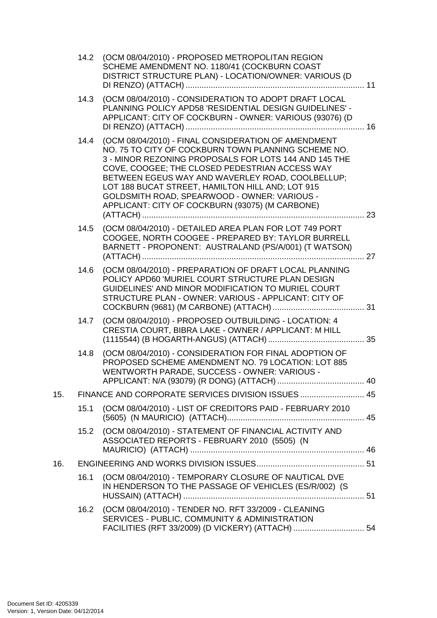|     | 14.2 | (OCM 08/04/2010) - PROPOSED METROPOLITAN REGION<br>SCHEME AMENDMENT NO. 1180/41 (COCKBURN COAST<br>DISTRICT STRUCTURE PLAN) - LOCATION/OWNER: VARIOUS (D                                                                                                                                                                                                                                                                         |  |  |
|-----|------|----------------------------------------------------------------------------------------------------------------------------------------------------------------------------------------------------------------------------------------------------------------------------------------------------------------------------------------------------------------------------------------------------------------------------------|--|--|
|     | 14.3 | (OCM 08/04/2010) - CONSIDERATION TO ADOPT DRAFT LOCAL<br>PLANNING POLICY APD58 'RESIDENTIAL DESIGN GUIDELINES' -<br>APPLICANT: CITY OF COCKBURN - OWNER: VARIOUS (93076) (D                                                                                                                                                                                                                                                      |  |  |
|     | 14.4 | (OCM 08/04/2010) - FINAL CONSIDERATION OF AMENDMENT<br>NO. 75 TO CITY OF COCKBURN TOWN PLANNING SCHEME NO.<br>3 - MINOR REZONING PROPOSALS FOR LOTS 144 AND 145 THE<br>COVE, COOGEE; THE CLOSED PEDESTRIAN ACCESS WAY<br>BETWEEN EGEUS WAY AND WAVERLEY ROAD, COOLBELLUP;<br>LOT 188 BUCAT STREET, HAMILTON HILL AND; LOT 915<br>GOLDSMITH ROAD, SPEARWOOD - OWNER: VARIOUS -<br>APPLICANT: CITY OF COCKBURN (93075) (M CARBONE) |  |  |
|     | 14.5 | (OCM 08/04/2010) - DETAILED AREA PLAN FOR LOT 749 PORT<br>COOGEE, NORTH COOGEE - PREPARED BY: TAYLOR BURRELL<br>BARNETT - PROPONENT: AUSTRALAND (PS/A/001) (T WATSON)                                                                                                                                                                                                                                                            |  |  |
|     | 14.6 | (OCM 08/04/2010) - PREPARATION OF DRAFT LOCAL PLANNING<br>POLICY APD60 'MURIEL COURT STRUCTURE PLAN DESIGN<br>GUIDELINES' AND MINOR MODIFICATION TO MURIEL COURT<br>STRUCTURE PLAN - OWNER: VARIOUS - APPLICANT: CITY OF                                                                                                                                                                                                         |  |  |
|     | 14.7 | (OCM 08/04/2010) - PROPOSED OUTBUILDING - LOCATION: 4<br>CRESTIA COURT, BIBRA LAKE - OWNER / APPLICANT: M HILL                                                                                                                                                                                                                                                                                                                   |  |  |
|     | 14.8 | (OCM 08/04/2010) - CONSIDERATION FOR FINAL ADOPTION OF<br>PROPOSED SCHEME AMENDMENT NO. 79 LOCATION: LOT 885<br>WENTWORTH PARADE, SUCCESS - OWNER: VARIOUS -                                                                                                                                                                                                                                                                     |  |  |
| 15. |      | FINANCE AND CORPORATE SERVICES DIVISION ISSUES  45                                                                                                                                                                                                                                                                                                                                                                               |  |  |
|     | 15.1 | (OCM 08/04/2010) - LIST OF CREDITORS PAID - FEBRUARY 2010                                                                                                                                                                                                                                                                                                                                                                        |  |  |
|     | 15.2 | (OCM 08/04/2010) - STATEMENT OF FINANCIAL ACTIVITY AND<br>ASSOCIATED REPORTS - FEBRUARY 2010 (5505) (N                                                                                                                                                                                                                                                                                                                           |  |  |
| 16. |      |                                                                                                                                                                                                                                                                                                                                                                                                                                  |  |  |
|     | 16.1 | (OCM 08/04/2010) - TEMPORARY CLOSURE OF NAUTICAL DVE<br>IN HENDERSON TO THE PASSAGE OF VEHICLES (ES/R/002) (S                                                                                                                                                                                                                                                                                                                    |  |  |
|     | 16.2 | (OCM 08/04/2010) - TENDER NO. RFT 33/2009 - CLEANING<br>SERVICES - PUBLIC, COMMUNITY & ADMINISTRATION<br>FACILITIES (RFT 33/2009) (D VICKERY) (ATTACH)  54                                                                                                                                                                                                                                                                       |  |  |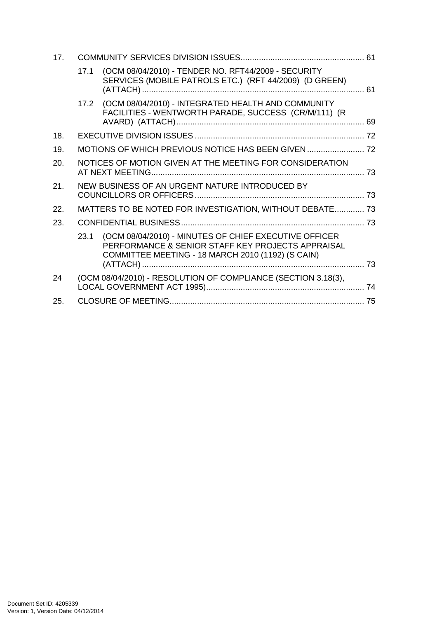| 17. |      |                                                                                                                                                                 |  |  |
|-----|------|-----------------------------------------------------------------------------------------------------------------------------------------------------------------|--|--|
|     | 17.1 | (OCM 08/04/2010) - TENDER NO. RFT44/2009 - SECURITY<br>SERVICES (MOBILE PATROLS ETC.) (RFT 44/2009) (D GREEN)                                                   |  |  |
|     | 17.2 | (OCM 08/04/2010) - INTEGRATED HEALTH AND COMMUNITY<br>FACILITIES - WENTWORTH PARADE, SUCCESS (CR/M/111) (R                                                      |  |  |
| 18. |      |                                                                                                                                                                 |  |  |
| 19. |      |                                                                                                                                                                 |  |  |
| 20. |      | NOTICES OF MOTION GIVEN AT THE MEETING FOR CONSIDERATION                                                                                                        |  |  |
| 21. |      | NEW BUSINESS OF AN URGENT NATURE INTRODUCED BY                                                                                                                  |  |  |
| 22. |      | MATTERS TO BE NOTED FOR INVESTIGATION, WITHOUT DEBATE 73                                                                                                        |  |  |
| 23. |      |                                                                                                                                                                 |  |  |
|     | 23.1 | (OCM 08/04/2010) - MINUTES OF CHIEF EXECUTIVE OFFICER<br>PERFORMANCE & SENIOR STAFF KEY PROJECTS APPRAISAL<br>COMMITTEE MEETING - 18 MARCH 2010 (1192) (S CAIN) |  |  |
|     |      |                                                                                                                                                                 |  |  |
| 24  |      | (OCM 08/04/2010) - RESOLUTION OF COMPLIANCE (SECTION 3.18(3),                                                                                                   |  |  |
| 25. |      |                                                                                                                                                                 |  |  |
|     |      |                                                                                                                                                                 |  |  |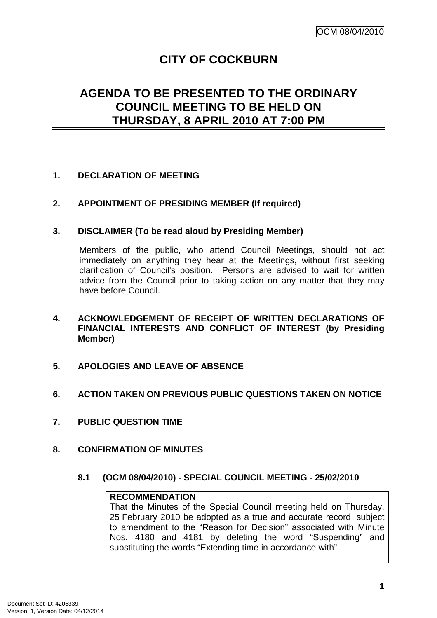## **CITY OF COCKBURN**

## **AGENDA TO BE PRESENTED TO THE ORDINARY COUNCIL MEETING TO BE HELD ON THURSDAY, 8 APRIL 2010 AT 7:00 PM**

## **1. DECLARATION OF MEETING**

#### **2. APPOINTMENT OF PRESIDING MEMBER (If required)**

#### **3. DISCLAIMER (To be read aloud by Presiding Member)**

Members of the public, who attend Council Meetings, should not act immediately on anything they hear at the Meetings, without first seeking clarification of Council's position. Persons are advised to wait for written advice from the Council prior to taking action on any matter that they may have before Council.

- **4. ACKNOWLEDGEMENT OF RECEIPT OF WRITTEN DECLARATIONS OF FINANCIAL INTERESTS AND CONFLICT OF INTEREST (by Presiding Member)**
- **5. APOLOGIES AND LEAVE OF ABSENCE**
- **6. ACTION TAKEN ON PREVIOUS PUBLIC QUESTIONS TAKEN ON NOTICE**
- **7. PUBLIC QUESTION TIME**
- **8. CONFIRMATION OF MINUTES** 
	- **8.1 (OCM 08/04/2010) SPECIAL COUNCIL MEETING 25/02/2010**

#### **RECOMMENDATION**

That the Minutes of the Special Council meeting held on Thursday, 25 February 2010 be adopted as a true and accurate record, subject to amendment to the "Reason for Decision" associated with Minute Nos. 4180 and 4181 by deleting the word "Suspending" and substituting the words "Extending time in accordance with".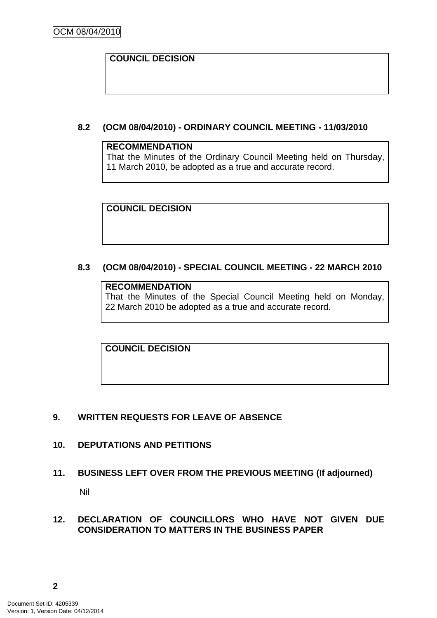## **COUNCIL DECISION**

## **8.2 (OCM 08/04/2010) - ORDINARY COUNCIL MEETING - 11/03/2010**

#### **RECOMMENDATION**

That the Minutes of the Ordinary Council Meeting held on Thursday, 11 March 2010, be adopted as a true and accurate record.

**COUNCIL DECISION** 

## **8.3 (OCM 08/04/2010) - SPECIAL COUNCIL MEETING - 22 MARCH 2010**

#### **RECOMMENDATION**

That the Minutes of the Special Council Meeting held on Monday, 22 March 2010 be adopted as a true and accurate record.

**COUNCIL DECISION** 

#### **9. WRITTEN REQUESTS FOR LEAVE OF ABSENCE**

#### **10. DEPUTATIONS AND PETITIONS**

#### **11. BUSINESS LEFT OVER FROM THE PREVIOUS MEETING (If adjourned)**

Nil

#### **12. DECLARATION OF COUNCILLORS WHO HAVE NOT GIVEN DUE CONSIDERATION TO MATTERS IN THE BUSINESS PAPER**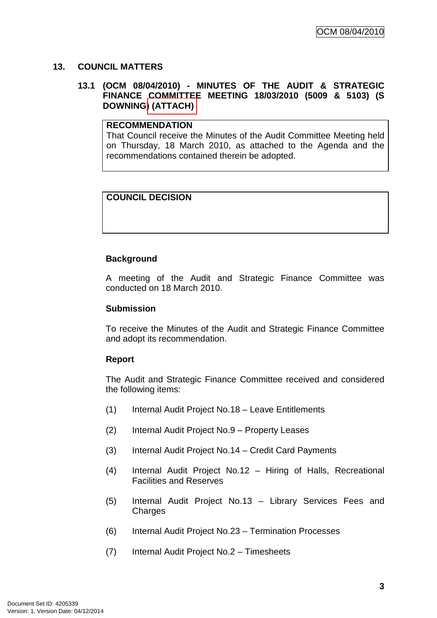## **13. COUNCIL MATTERS**

#### **13.1 (OCM 08/04/2010) - MINUTES OF THE AUDIT & STRATEGIC FINANCE COMMITTEE MEETING 18/03/2010 (5009 & 5103) (S DOWNING) (ATTACH)**

#### **RECOMMENDATION**

That Council receive the Minutes of the Audit Committee Meeting held on Thursday, 18 March 2010, as attached to the Agenda and the recommendations contained therein be adopted.

## **COUNCIL DECISION**

## **Background**

A meeting of the Audit and Strategic Finance Committee was conducted on 18 March 2010.

#### **Submission**

To receive the Minutes of the Audit and Strategic Finance Committee and adopt its recommendation.

#### **Report**

The Audit and Strategic Finance Committee received and considered the following items:

- (1) Internal Audit Project No.18 Leave Entitlements
- (2) Internal Audit Project No.9 Property Leases
- (3) Internal Audit Project No.14 Credit Card Payments
- (4) Internal Audit Project No.12 Hiring of Halls, Recreational Facilities and Reserves
- (5) Internal Audit Project No.13 Library Services Fees and **Charges**
- (6) Internal Audit Project No.23 Termination Processes
- (7) Internal Audit Project No.2 Timesheets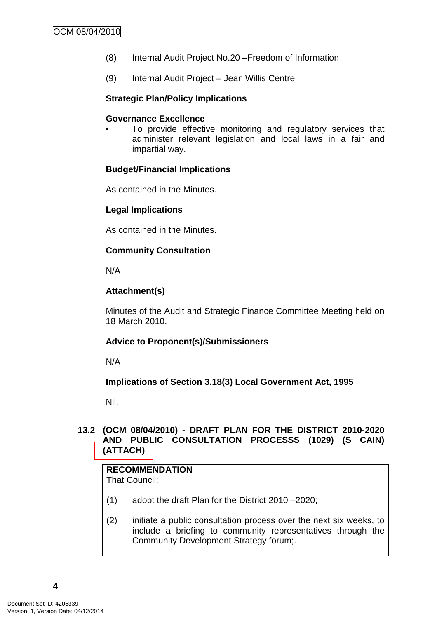- (8) Internal Audit Project No.20 –Freedom of Information
- (9) Internal Audit Project Jean Willis Centre

#### **Strategic Plan/Policy Implications**

#### **Governance Excellence**

To provide effective monitoring and regulatory services that administer relevant legislation and local laws in a fair and impartial way.

#### **Budget/Financial Implications**

As contained in the Minutes.

#### **Legal Implications**

As contained in the Minutes.

#### **Community Consultation**

N/A

#### **Attachment(s)**

Minutes of the Audit and Strategic Finance Committee Meeting held on 18 March 2010.

#### **Advice to Proponent(s)/Submissioners**

N/A

#### **Implications of Section 3.18(3) Local Government Act, 1995**

Nil.

## **13.2 (OCM 08/04/2010) - DRAFT PLAN FOR THE DISTRICT 2010-2020 AND PUBLIC CONSULTATION PROCESSS (1029) (S CAIN) (ATTACH)**

## **RECOMMENDATION**

That Council:

- (1) adopt the draft Plan for the District 2010 –2020;
- (2) initiate a public consultation process over the next six weeks, to include a briefing to community representatives through the Community Development Strategy forum;.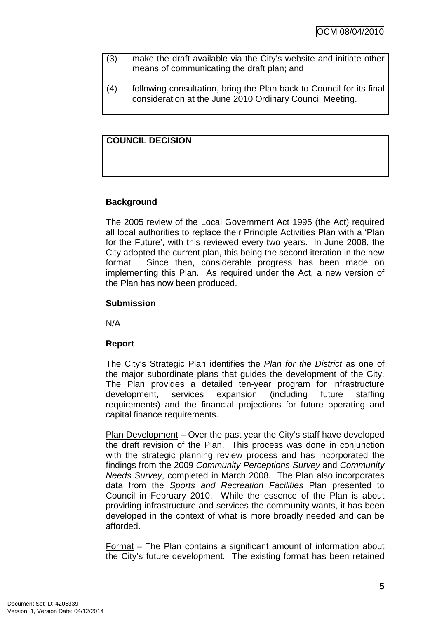- (3) make the draft available via the City's website and initiate other means of communicating the draft plan; and
- (4) following consultation, bring the Plan back to Council for its final consideration at the June 2010 Ordinary Council Meeting.

## **COUNCIL DECISION**

## **Background**

The 2005 review of the Local Government Act 1995 (the Act) required all local authorities to replace their Principle Activities Plan with a 'Plan for the Future', with this reviewed every two years. In June 2008, the City adopted the current plan, this being the second iteration in the new format. Since then, considerable progress has been made on implementing this Plan. As required under the Act, a new version of the Plan has now been produced.

## **Submission**

N/A

## **Report**

The City's Strategic Plan identifies the Plan for the District as one of the major subordinate plans that guides the development of the City. The Plan provides a detailed ten-year program for infrastructure development, services expansion (including future staffing requirements) and the financial projections for future operating and capital finance requirements.

Plan Development – Over the past year the City's staff have developed the draft revision of the Plan. This process was done in conjunction with the strategic planning review process and has incorporated the findings from the 2009 Community Perceptions Survey and Community Needs Survey, completed in March 2008. The Plan also incorporates data from the Sports and Recreation Facilities Plan presented to Council in February 2010. While the essence of the Plan is about providing infrastructure and services the community wants, it has been developed in the context of what is more broadly needed and can be afforded.

Format – The Plan contains a significant amount of information about the City's future development. The existing format has been retained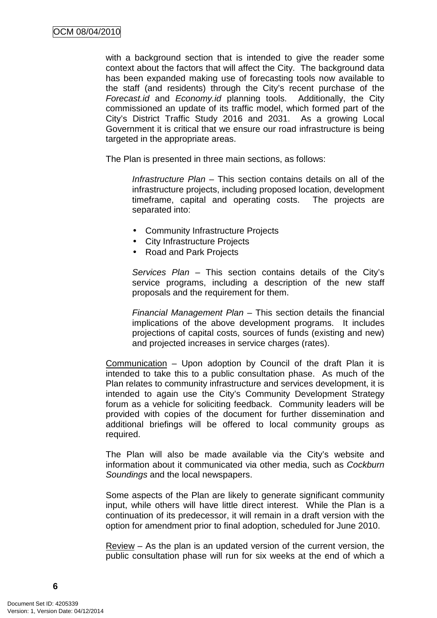with a background section that is intended to give the reader some context about the factors that will affect the City. The background data has been expanded making use of forecasting tools now available to the staff (and residents) through the City's recent purchase of the Forecast.id and Economy.id planning tools. Additionally, the City commissioned an update of its traffic model, which formed part of the City's District Traffic Study 2016 and 2031. As a growing Local Government it is critical that we ensure our road infrastructure is being targeted in the appropriate areas.

The Plan is presented in three main sections, as follows:

Infrastructure Plan – This section contains details on all of the infrastructure projects, including proposed location, development timeframe, capital and operating costs. The projects are separated into:

- Community Infrastructure Projects
- City Infrastructure Projects
- Road and Park Projects

Services Plan – This section contains details of the City's service programs, including a description of the new staff proposals and the requirement for them.

Financial Management Plan – This section details the financial implications of the above development programs. It includes projections of capital costs, sources of funds (existing and new) and projected increases in service charges (rates).

Communication – Upon adoption by Council of the draft Plan it is intended to take this to a public consultation phase. As much of the Plan relates to community infrastructure and services development, it is intended to again use the City's Community Development Strategy forum as a vehicle for soliciting feedback. Community leaders will be provided with copies of the document for further dissemination and additional briefings will be offered to local community groups as required.

The Plan will also be made available via the City's website and information about it communicated via other media, such as Cockburn Soundings and the local newspapers.

Some aspects of the Plan are likely to generate significant community input, while others will have little direct interest. While the Plan is a continuation of its predecessor, it will remain in a draft version with the option for amendment prior to final adoption, scheduled for June 2010.

Review – As the plan is an updated version of the current version, the public consultation phase will run for six weeks at the end of which a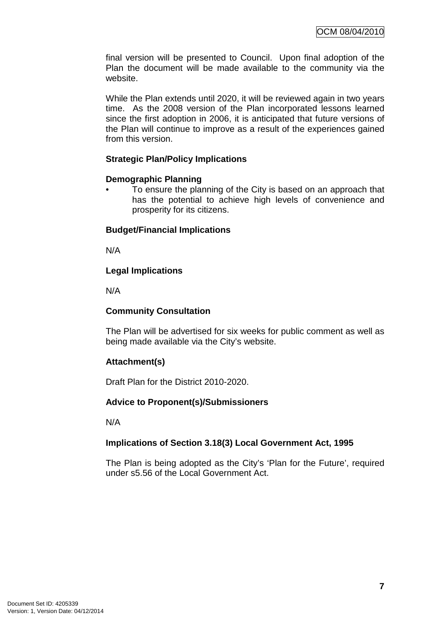final version will be presented to Council. Upon final adoption of the Plan the document will be made available to the community via the website.

While the Plan extends until 2020, it will be reviewed again in two years time. As the 2008 version of the Plan incorporated lessons learned since the first adoption in 2006, it is anticipated that future versions of the Plan will continue to improve as a result of the experiences gained from this version.

## **Strategic Plan/Policy Implications**

#### **Demographic Planning**

• To ensure the planning of the City is based on an approach that has the potential to achieve high levels of convenience and prosperity for its citizens.

## **Budget/Financial Implications**

N/A

## **Legal Implications**

N/A

## **Community Consultation**

The Plan will be advertised for six weeks for public comment as well as being made available via the City's website.

## **Attachment(s)**

Draft Plan for the District 2010-2020.

## **Advice to Proponent(s)/Submissioners**

N/A

## **Implications of Section 3.18(3) Local Government Act, 1995**

The Plan is being adopted as the City's 'Plan for the Future', required under s5.56 of the Local Government Act.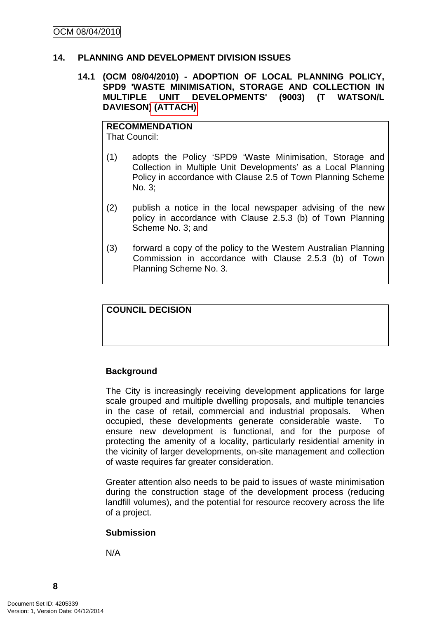#### **14. PLANNING AND DEVELOPMENT DIVISION ISSUES**

#### **14.1 (OCM 08/04/2010) - ADOPTION OF LOCAL PLANNING POLICY, SPD9 'WASTE MINIMISATION, STORAGE AND COLLECTION IN MULTIPLE UNIT DEVELOPMENTS' (9003) (T WATSON/L DAVIESON) (ATTACH)**

#### **RECOMMENDATION** That Council:

- (1) adopts the Policy 'SPD9 'Waste Minimisation, Storage and Collection in Multiple Unit Developments' as a Local Planning Policy in accordance with Clause 2.5 of Town Planning Scheme No. 3;
- (2) publish a notice in the local newspaper advising of the new policy in accordance with Clause 2.5.3 (b) of Town Planning Scheme No. 3; and
- (3) forward a copy of the policy to the Western Australian Planning Commission in accordance with Clause 2.5.3 (b) of Town Planning Scheme No. 3.

#### **COUNCIL DECISION**

## **Background**

The City is increasingly receiving development applications for large scale grouped and multiple dwelling proposals, and multiple tenancies in the case of retail, commercial and industrial proposals. When occupied, these developments generate considerable waste. To ensure new development is functional, and for the purpose of protecting the amenity of a locality, particularly residential amenity in the vicinity of larger developments, on-site management and collection of waste requires far greater consideration.

Greater attention also needs to be paid to issues of waste minimisation during the construction stage of the development process (reducing landfill volumes), and the potential for resource recovery across the life of a project.

#### **Submission**

N/A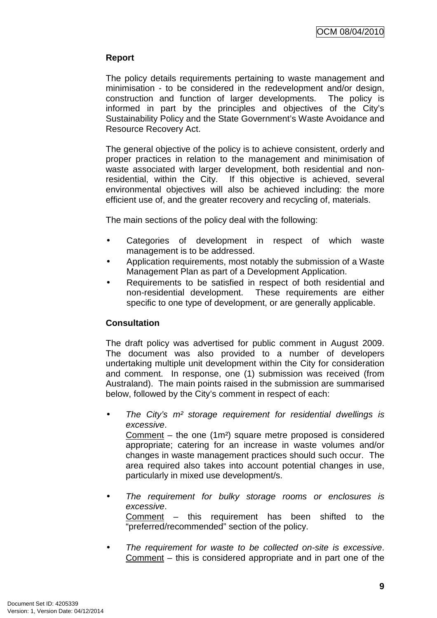## **Report**

The policy details requirements pertaining to waste management and minimisation - to be considered in the redevelopment and/or design, construction and function of larger developments. The policy is informed in part by the principles and objectives of the City's Sustainability Policy and the State Government's Waste Avoidance and Resource Recovery Act.

The general objective of the policy is to achieve consistent, orderly and proper practices in relation to the management and minimisation of waste associated with larger development, both residential and nonresidential, within the City. If this objective is achieved, several environmental objectives will also be achieved including: the more efficient use of, and the greater recovery and recycling of, materials.

The main sections of the policy deal with the following:

- Categories of development in respect of which waste management is to be addressed.
- Application requirements, most notably the submission of a Waste Management Plan as part of a Development Application.
- Requirements to be satisfied in respect of both residential and non-residential development. These requirements are either specific to one type of development, or are generally applicable.

## **Consultation**

The draft policy was advertised for public comment in August 2009. The document was also provided to a number of developers undertaking multiple unit development within the City for consideration and comment. In response, one (1) submission was received (from Australand). The main points raised in the submission are summarised below, followed by the City's comment in respect of each:

The City's  $m<sup>2</sup>$  storage requirement for residential dwellings is excessive.

Comment – the one (1m²) square metre proposed is considered appropriate; catering for an increase in waste volumes and/or changes in waste management practices should such occur. The area required also takes into account potential changes in use, particularly in mixed use development/s.

The requirement for bulky storage rooms or enclosures is excessive. Comment – this requirement has been shifted to the

"preferred/recommended" section of the policy.

• The requirement for waste to be collected on-site is excessive. Comment – this is considered appropriate and in part one of the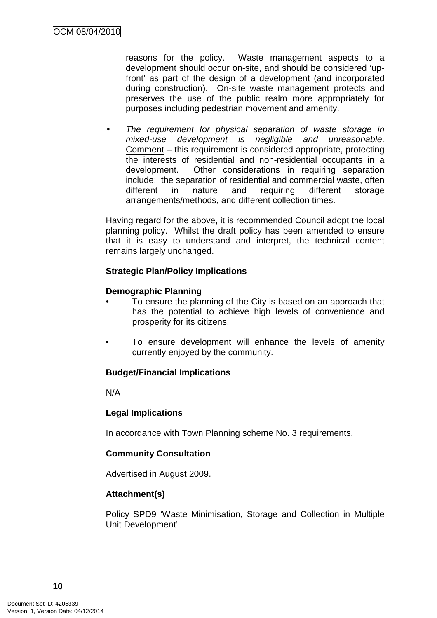reasons for the policy. Waste management aspects to a development should occur on-site, and should be considered 'upfront' as part of the design of a development (and incorporated during construction). On-site waste management protects and preserves the use of the public realm more appropriately for purposes including pedestrian movement and amenity.

The requirement for physical separation of waste storage in mixed-use development is negligible and unreasonable. Comment – this requirement is considered appropriate, protecting the interests of residential and non-residential occupants in a development. Other considerations in requiring separation include: the separation of residential and commercial waste, often different in nature and requiring different storage arrangements/methods, and different collection times.

Having regard for the above, it is recommended Council adopt the local planning policy. Whilst the draft policy has been amended to ensure that it is easy to understand and interpret, the technical content remains largely unchanged.

## **Strategic Plan/Policy Implications**

## **Demographic Planning**

- To ensure the planning of the City is based on an approach that has the potential to achieve high levels of convenience and prosperity for its citizens.
- To ensure development will enhance the levels of amenity currently enjoyed by the community.

#### **Budget/Financial Implications**

N/A

#### **Legal Implications**

In accordance with Town Planning scheme No. 3 requirements.

## **Community Consultation**

Advertised in August 2009.

#### **Attachment(s)**

Policy SPD9 'Waste Minimisation, Storage and Collection in Multiple Unit Development'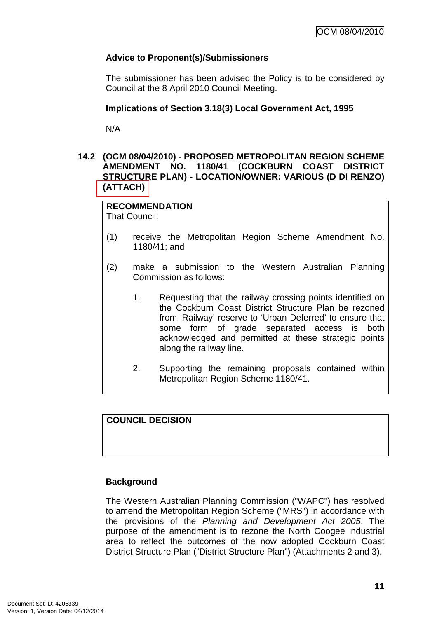## **Advice to Proponent(s)/Submissioners**

The submissioner has been advised the Policy is to be considered by Council at the 8 April 2010 Council Meeting.

## **Implications of Section 3.18(3) Local Government Act, 1995**

N/A

## **14.2 (OCM 08/04/2010) - PROPOSED METROPOLITAN REGION SCHEME AMENDMENT NO. 1180/41 (COCKBURN COAST DISTRICT STRUCTURE PLAN) - LOCATION/OWNER: VARIOUS (D DI RENZO) (ATTACH)**

**RECOMMENDATION** That Council:

- (1) receive the Metropolitan Region Scheme Amendment No. 1180/41; and
- (2) make a submission to the Western Australian Planning Commission as follows:
	- 1. Requesting that the railway crossing points identified on the Cockburn Coast District Structure Plan be rezoned from 'Railway' reserve to 'Urban Deferred' to ensure that some form of grade separated access is both acknowledged and permitted at these strategic points along the railway line.
	- 2. Supporting the remaining proposals contained within Metropolitan Region Scheme 1180/41.

## **COUNCIL DECISION**

#### **Background**

The Western Australian Planning Commission ("WAPC") has resolved to amend the Metropolitan Region Scheme ("MRS") in accordance with the provisions of the Planning and Development Act 2005. The purpose of the amendment is to rezone the North Coogee industrial area to reflect the outcomes of the now adopted Cockburn Coast District Structure Plan ("District Structure Plan") (Attachments 2 and 3).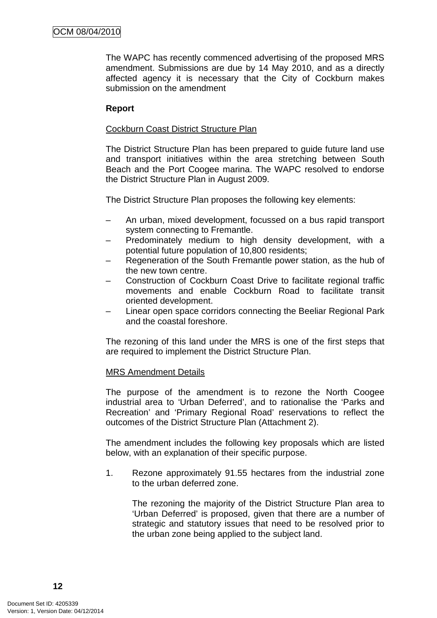The WAPC has recently commenced advertising of the proposed MRS amendment. Submissions are due by 14 May 2010, and as a directly affected agency it is necessary that the City of Cockburn makes submission on the amendment

#### **Report**

#### Cockburn Coast District Structure Plan

The District Structure Plan has been prepared to guide future land use and transport initiatives within the area stretching between South Beach and the Port Coogee marina. The WAPC resolved to endorse the District Structure Plan in August 2009.

The District Structure Plan proposes the following key elements:

- An urban, mixed development, focussed on a bus rapid transport system connecting to Fremantle.
- Predominately medium to high density development, with a potential future population of 10,800 residents;
- Regeneration of the South Fremantle power station, as the hub of the new town centre.
- Construction of Cockburn Coast Drive to facilitate regional traffic movements and enable Cockburn Road to facilitate transit oriented development.
- Linear open space corridors connecting the Beeliar Regional Park and the coastal foreshore.

The rezoning of this land under the MRS is one of the first steps that are required to implement the District Structure Plan.

#### MRS Amendment Details

The purpose of the amendment is to rezone the North Coogee industrial area to 'Urban Deferred', and to rationalise the 'Parks and Recreation' and 'Primary Regional Road' reservations to reflect the outcomes of the District Structure Plan (Attachment 2).

The amendment includes the following key proposals which are listed below, with an explanation of their specific purpose.

1. Rezone approximately 91.55 hectares from the industrial zone to the urban deferred zone.

The rezoning the majority of the District Structure Plan area to 'Urban Deferred' is proposed, given that there are a number of strategic and statutory issues that need to be resolved prior to the urban zone being applied to the subject land.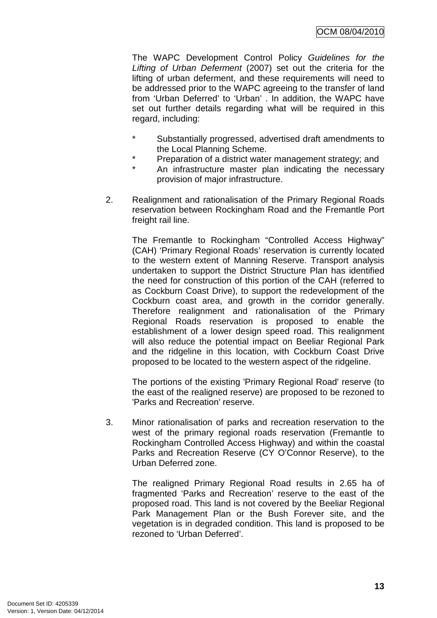The WAPC Development Control Policy Guidelines for the Lifting of Urban Deferment (2007) set out the criteria for the lifting of urban deferment, and these requirements will need to be addressed prior to the WAPC agreeing to the transfer of land from 'Urban Deferred' to 'Urban' . In addition, the WAPC have set out further details regarding what will be required in this regard, including:

- \* Substantially progressed, advertised draft amendments to the Local Planning Scheme.
- \* Preparation of a district water management strategy; and
- An infrastructure master plan indicating the necessary provision of major infrastructure.
- 2. Realignment and rationalisation of the Primary Regional Roads reservation between Rockingham Road and the Fremantle Port freight rail line.

The Fremantle to Rockingham "Controlled Access Highway" (CAH) 'Primary Regional Roads' reservation is currently located to the western extent of Manning Reserve. Transport analysis undertaken to support the District Structure Plan has identified the need for construction of this portion of the CAH (referred to as Cockburn Coast Drive), to support the redevelopment of the Cockburn coast area, and growth in the corridor generally. Therefore realignment and rationalisation of the Primary Regional Roads reservation is proposed to enable the establishment of a lower design speed road. This realignment will also reduce the potential impact on Beeliar Regional Park and the ridgeline in this location, with Cockburn Coast Drive proposed to be located to the western aspect of the ridgeline.

The portions of the existing 'Primary Regional Road' reserve (to the east of the realigned reserve) are proposed to be rezoned to 'Parks and Recreation' reserve.

3. Minor rationalisation of parks and recreation reservation to the west of the primary regional roads reservation (Fremantle to Rockingham Controlled Access Highway) and within the coastal Parks and Recreation Reserve (CY O'Connor Reserve), to the Urban Deferred zone.

The realigned Primary Regional Road results in 2.65 ha of fragmented 'Parks and Recreation' reserve to the east of the proposed road. This land is not covered by the Beeliar Regional Park Management Plan or the Bush Forever site, and the vegetation is in degraded condition. This land is proposed to be rezoned to 'Urban Deferred'.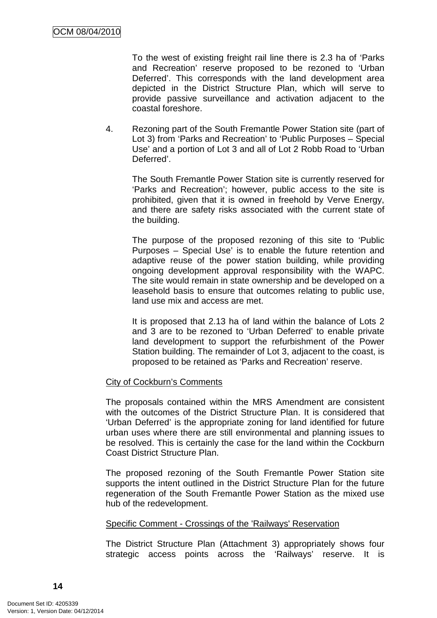To the west of existing freight rail line there is 2.3 ha of 'Parks and Recreation' reserve proposed to be rezoned to 'Urban Deferred'. This corresponds with the land development area depicted in the District Structure Plan, which will serve to provide passive surveillance and activation adjacent to the coastal foreshore.

4. Rezoning part of the South Fremantle Power Station site (part of Lot 3) from 'Parks and Recreation' to 'Public Purposes – Special Use' and a portion of Lot 3 and all of Lot 2 Robb Road to 'Urban Deferred'.

The South Fremantle Power Station site is currently reserved for 'Parks and Recreation'; however, public access to the site is prohibited, given that it is owned in freehold by Verve Energy, and there are safety risks associated with the current state of the building.

The purpose of the proposed rezoning of this site to 'Public Purposes – Special Use' is to enable the future retention and adaptive reuse of the power station building, while providing ongoing development approval responsibility with the WAPC. The site would remain in state ownership and be developed on a leasehold basis to ensure that outcomes relating to public use, land use mix and access are met.

It is proposed that 2.13 ha of land within the balance of Lots 2 and 3 are to be rezoned to 'Urban Deferred' to enable private land development to support the refurbishment of the Power Station building. The remainder of Lot 3, adjacent to the coast, is proposed to be retained as 'Parks and Recreation' reserve.

## City of Cockburn's Comments

The proposals contained within the MRS Amendment are consistent with the outcomes of the District Structure Plan. It is considered that 'Urban Deferred' is the appropriate zoning for land identified for future urban uses where there are still environmental and planning issues to be resolved. This is certainly the case for the land within the Cockburn Coast District Structure Plan.

The proposed rezoning of the South Fremantle Power Station site supports the intent outlined in the District Structure Plan for the future regeneration of the South Fremantle Power Station as the mixed use hub of the redevelopment.

#### Specific Comment - Crossings of the 'Railways' Reservation

The District Structure Plan (Attachment 3) appropriately shows four strategic access points across the 'Railways' reserve. It is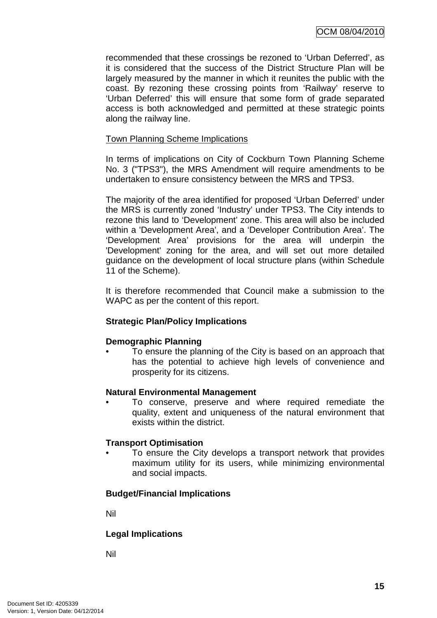recommended that these crossings be rezoned to 'Urban Deferred', as it is considered that the success of the District Structure Plan will be largely measured by the manner in which it reunites the public with the coast. By rezoning these crossing points from 'Railway' reserve to 'Urban Deferred' this will ensure that some form of grade separated access is both acknowledged and permitted at these strategic points along the railway line.

#### Town Planning Scheme Implications

In terms of implications on City of Cockburn Town Planning Scheme No. 3 ("TPS3"), the MRS Amendment will require amendments to be undertaken to ensure consistency between the MRS and TPS3.

The majority of the area identified for proposed 'Urban Deferred' under the MRS is currently zoned 'Industry' under TPS3. The City intends to rezone this land to 'Development' zone. This area will also be included within a 'Development Area', and a 'Developer Contribution Area'. The 'Development Area' provisions for the area will underpin the 'Development' zoning for the area, and will set out more detailed guidance on the development of local structure plans (within Schedule 11 of the Scheme).

It is therefore recommended that Council make a submission to the WAPC as per the content of this report.

## **Strategic Plan/Policy Implications**

#### **Demographic Planning**

• To ensure the planning of the City is based on an approach that has the potential to achieve high levels of convenience and prosperity for its citizens.

#### **Natural Environmental Management**

• To conserve, preserve and where required remediate the quality, extent and uniqueness of the natural environment that exists within the district.

#### **Transport Optimisation**

To ensure the City develops a transport network that provides maximum utility for its users, while minimizing environmental and social impacts.

#### **Budget/Financial Implications**

Nil

#### **Legal Implications**

Nil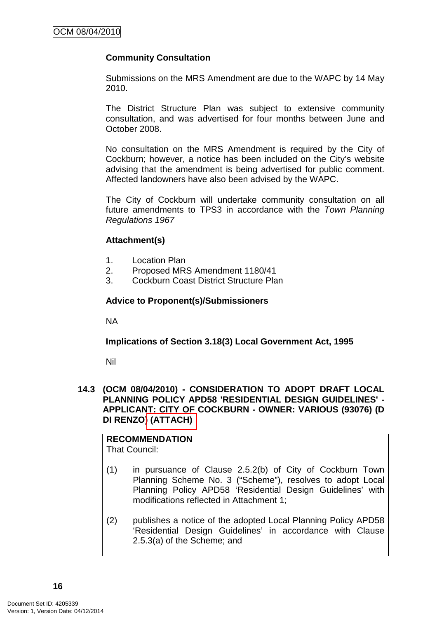## **Community Consultation**

Submissions on the MRS Amendment are due to the WAPC by 14 May 2010.

The District Structure Plan was subject to extensive community consultation, and was advertised for four months between June and October 2008.

No consultation on the MRS Amendment is required by the City of Cockburn; however, a notice has been included on the City's website advising that the amendment is being advertised for public comment. Affected landowners have also been advised by the WAPC.

The City of Cockburn will undertake community consultation on all future amendments to TPS3 in accordance with the Town Planning Regulations 1967

#### **Attachment(s)**

- 1. Location Plan
- 2. Proposed MRS Amendment 1180/41
- 3. Cockburn Coast District Structure Plan

#### **Advice to Proponent(s)/Submissioners**

NA

**Implications of Section 3.18(3) Local Government Act, 1995**

Nil

#### **14.3 (OCM 08/04/2010) - CONSIDERATION TO ADOPT DRAFT LOCAL PLANNING POLICY APD58 'RESIDENTIAL DESIGN GUIDELINES' - APPLICANT: CITY OF COCKBURN - OWNER: VARIOUS (93076) (D DI RENZO) (ATTACH)**

**RECOMMENDATION**  That Council:

- (1) in pursuance of Clause 2.5.2(b) of City of Cockburn Town Planning Scheme No. 3 ("Scheme"), resolves to adopt Local Planning Policy APD58 'Residential Design Guidelines' with modifications reflected in Attachment 1;
- (2) publishes a notice of the adopted Local Planning Policy APD58 'Residential Design Guidelines' in accordance with Clause 2.5.3(a) of the Scheme; and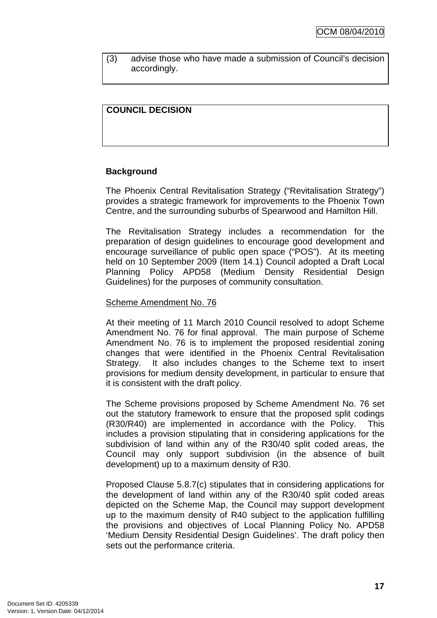(3) advise those who have made a submission of Council's decision accordingly.

## **COUNCIL DECISION**

#### **Background**

The Phoenix Central Revitalisation Strategy ("Revitalisation Strategy") provides a strategic framework for improvements to the Phoenix Town Centre, and the surrounding suburbs of Spearwood and Hamilton Hill.

The Revitalisation Strategy includes a recommendation for the preparation of design guidelines to encourage good development and encourage surveillance of public open space ("POS"). At its meeting held on 10 September 2009 (Item 14.1) Council adopted a Draft Local Planning Policy APD58 (Medium Density Residential Design Guidelines) for the purposes of community consultation.

#### Scheme Amendment No. 76

At their meeting of 11 March 2010 Council resolved to adopt Scheme Amendment No. 76 for final approval. The main purpose of Scheme Amendment No. 76 is to implement the proposed residential zoning changes that were identified in the Phoenix Central Revitalisation Strategy. It also includes changes to the Scheme text to insert provisions for medium density development, in particular to ensure that it is consistent with the draft policy.

The Scheme provisions proposed by Scheme Amendment No. 76 set out the statutory framework to ensure that the proposed split codings (R30/R40) are implemented in accordance with the Policy. This includes a provision stipulating that in considering applications for the subdivision of land within any of the R30/40 split coded areas, the Council may only support subdivision (in the absence of built development) up to a maximum density of R30.

Proposed Clause 5.8.7(c) stipulates that in considering applications for the development of land within any of the R30/40 split coded areas depicted on the Scheme Map, the Council may support development up to the maximum density of R40 subject to the application fulfilling the provisions and objectives of Local Planning Policy No. APD58 'Medium Density Residential Design Guidelines'. The draft policy then sets out the performance criteria.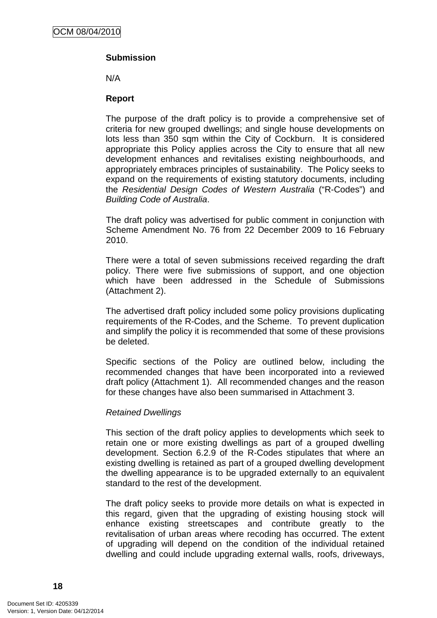## **Submission**

N/A

#### **Report**

The purpose of the draft policy is to provide a comprehensive set of criteria for new grouped dwellings; and single house developments on lots less than 350 sqm within the City of Cockburn. It is considered appropriate this Policy applies across the City to ensure that all new development enhances and revitalises existing neighbourhoods, and appropriately embraces principles of sustainability. The Policy seeks to expand on the requirements of existing statutory documents, including the Residential Design Codes of Western Australia ("R-Codes") and Building Code of Australia.

The draft policy was advertised for public comment in conjunction with Scheme Amendment No. 76 from 22 December 2009 to 16 February 2010.

There were a total of seven submissions received regarding the draft policy. There were five submissions of support, and one objection which have been addressed in the Schedule of Submissions (Attachment 2).

The advertised draft policy included some policy provisions duplicating requirements of the R-Codes, and the Scheme. To prevent duplication and simplify the policy it is recommended that some of these provisions be deleted.

Specific sections of the Policy are outlined below, including the recommended changes that have been incorporated into a reviewed draft policy (Attachment 1). All recommended changes and the reason for these changes have also been summarised in Attachment 3.

#### Retained Dwellings

This section of the draft policy applies to developments which seek to retain one or more existing dwellings as part of a grouped dwelling development. Section 6.2.9 of the R-Codes stipulates that where an existing dwelling is retained as part of a grouped dwelling development the dwelling appearance is to be upgraded externally to an equivalent standard to the rest of the development.

The draft policy seeks to provide more details on what is expected in this regard, given that the upgrading of existing housing stock will enhance existing streetscapes and contribute greatly to the revitalisation of urban areas where recoding has occurred. The extent of upgrading will depend on the condition of the individual retained dwelling and could include upgrading external walls, roofs, driveways,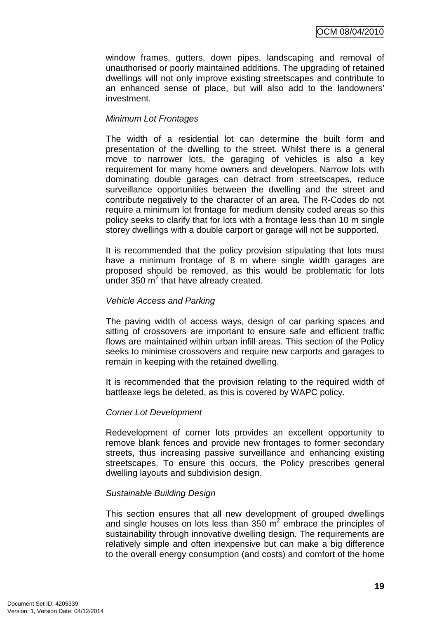window frames, gutters, down pipes, landscaping and removal of unauthorised or poorly maintained additions. The upgrading of retained dwellings will not only improve existing streetscapes and contribute to an enhanced sense of place, but will also add to the landowners' investment.

#### Minimum Lot Frontages

The width of a residential lot can determine the built form and presentation of the dwelling to the street. Whilst there is a general move to narrower lots, the garaging of vehicles is also a key requirement for many home owners and developers. Narrow lots with dominating double garages can detract from streetscapes, reduce surveillance opportunities between the dwelling and the street and contribute negatively to the character of an area. The R-Codes do not require a minimum lot frontage for medium density coded areas so this policy seeks to clarify that for lots with a frontage less than 10 m single storey dwellings with a double carport or garage will not be supported.

It is recommended that the policy provision stipulating that lots must have a minimum frontage of 8 m where single width garages are proposed should be removed, as this would be problematic for lots under 350  $m^2$  that have already created.

#### Vehicle Access and Parking

The paving width of access ways, design of car parking spaces and sitting of crossovers are important to ensure safe and efficient traffic flows are maintained within urban infill areas. This section of the Policy seeks to minimise crossovers and require new carports and garages to remain in keeping with the retained dwelling.

It is recommended that the provision relating to the required width of battleaxe legs be deleted, as this is covered by WAPC policy.

#### Corner Lot Development

Redevelopment of corner lots provides an excellent opportunity to remove blank fences and provide new frontages to former secondary streets, thus increasing passive surveillance and enhancing existing streetscapes. To ensure this occurs, the Policy prescribes general dwelling layouts and subdivision design.

#### Sustainable Building Design

This section ensures that all new development of grouped dwellings and single houses on lots less than 350  $m^2$  embrace the principles of sustainability through innovative dwelling design. The requirements are relatively simple and often inexpensive but can make a big difference to the overall energy consumption (and costs) and comfort of the home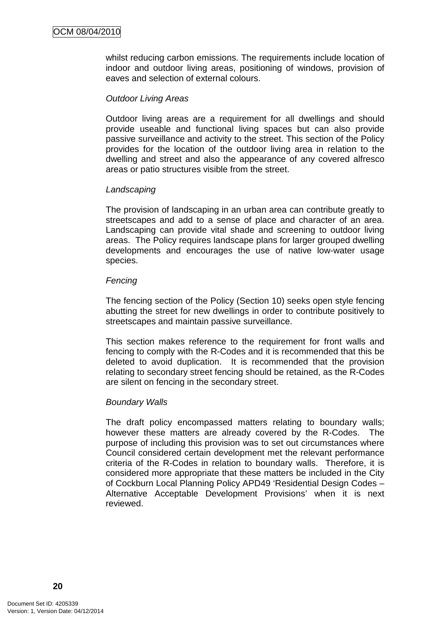whilst reducing carbon emissions. The requirements include location of indoor and outdoor living areas, positioning of windows, provision of eaves and selection of external colours.

#### Outdoor Living Areas

Outdoor living areas are a requirement for all dwellings and should provide useable and functional living spaces but can also provide passive surveillance and activity to the street. This section of the Policy provides for the location of the outdoor living area in relation to the dwelling and street and also the appearance of any covered alfresco areas or patio structures visible from the street.

#### **Landscaping**

The provision of landscaping in an urban area can contribute greatly to streetscapes and add to a sense of place and character of an area. Landscaping can provide vital shade and screening to outdoor living areas. The Policy requires landscape plans for larger grouped dwelling developments and encourages the use of native low-water usage species.

#### **Fencing**

The fencing section of the Policy (Section 10) seeks open style fencing abutting the street for new dwellings in order to contribute positively to streetscapes and maintain passive surveillance.

This section makes reference to the requirement for front walls and fencing to comply with the R-Codes and it is recommended that this be deleted to avoid duplication. It is recommended that the provision relating to secondary street fencing should be retained, as the R-Codes are silent on fencing in the secondary street.

#### Boundary Walls

The draft policy encompassed matters relating to boundary walls; however these matters are already covered by the R-Codes. The purpose of including this provision was to set out circumstances where Council considered certain development met the relevant performance criteria of the R-Codes in relation to boundary walls. Therefore, it is considered more appropriate that these matters be included in the City of Cockburn Local Planning Policy APD49 'Residential Design Codes – Alternative Acceptable Development Provisions' when it is next reviewed.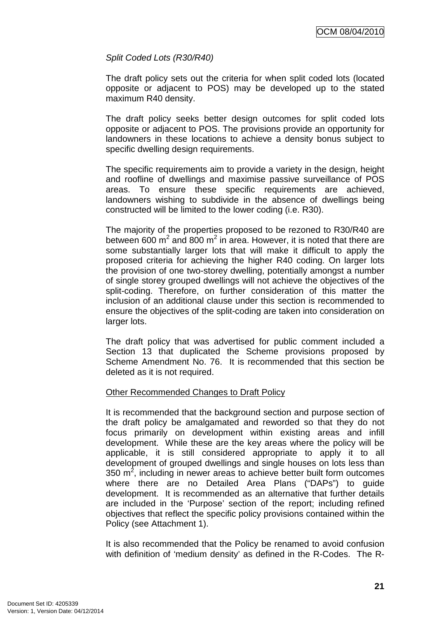## Split Coded Lots (R30/R40)

The draft policy sets out the criteria for when split coded lots (located opposite or adjacent to POS) may be developed up to the stated maximum R40 density.

The draft policy seeks better design outcomes for split coded lots opposite or adjacent to POS. The provisions provide an opportunity for landowners in these locations to achieve a density bonus subject to specific dwelling design requirements.

The specific requirements aim to provide a variety in the design, height and roofline of dwellings and maximise passive surveillance of POS areas. To ensure these specific requirements are achieved, landowners wishing to subdivide in the absence of dwellings being constructed will be limited to the lower coding (i.e. R30).

The majority of the properties proposed to be rezoned to R30/R40 are between 600 m<sup>2</sup> and 800 m<sup>2</sup> in area. However, it is noted that there are some substantially larger lots that will make it difficult to apply the proposed criteria for achieving the higher R40 coding. On larger lots the provision of one two-storey dwelling, potentially amongst a number of single storey grouped dwellings will not achieve the objectives of the split-coding. Therefore, on further consideration of this matter the inclusion of an additional clause under this section is recommended to ensure the objectives of the split-coding are taken into consideration on larger lots.

The draft policy that was advertised for public comment included a Section 13 that duplicated the Scheme provisions proposed by Scheme Amendment No. 76. It is recommended that this section be deleted as it is not required.

#### Other Recommended Changes to Draft Policy

It is recommended that the background section and purpose section of the draft policy be amalgamated and reworded so that they do not focus primarily on development within existing areas and infill development. While these are the key areas where the policy will be applicable, it is still considered appropriate to apply it to all development of grouped dwellings and single houses on lots less than 350  $m^2$ , including in newer areas to achieve better built form outcomes where there are no Detailed Area Plans ("DAPs") to guide development. It is recommended as an alternative that further details are included in the 'Purpose' section of the report; including refined objectives that reflect the specific policy provisions contained within the Policy (see Attachment 1).

It is also recommended that the Policy be renamed to avoid confusion with definition of 'medium density' as defined in the R-Codes. The R-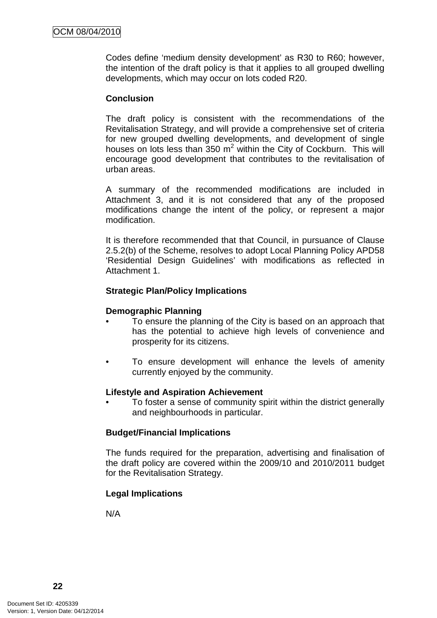Codes define 'medium density development' as R30 to R60; however, the intention of the draft policy is that it applies to all grouped dwelling developments, which may occur on lots coded R20.

#### **Conclusion**

The draft policy is consistent with the recommendations of the Revitalisation Strategy, and will provide a comprehensive set of criteria for new grouped dwelling developments, and development of single houses on lots less than  $350 \text{ m}^2$  within the City of Cockburn. This will encourage good development that contributes to the revitalisation of urban areas.

A summary of the recommended modifications are included in Attachment 3, and it is not considered that any of the proposed modifications change the intent of the policy, or represent a major modification.

It is therefore recommended that that Council, in pursuance of Clause 2.5.2(b) of the Scheme, resolves to adopt Local Planning Policy APD58 'Residential Design Guidelines' with modifications as reflected in Attachment 1.

#### **Strategic Plan/Policy Implications**

#### **Demographic Planning**

- To ensure the planning of the City is based on an approach that has the potential to achieve high levels of convenience and prosperity for its citizens.
- To ensure development will enhance the levels of amenity currently enjoyed by the community.

#### **Lifestyle and Aspiration Achievement**

• To foster a sense of community spirit within the district generally and neighbourhoods in particular.

#### **Budget/Financial Implications**

The funds required for the preparation, advertising and finalisation of the draft policy are covered within the 2009/10 and 2010/2011 budget for the Revitalisation Strategy.

#### **Legal Implications**

N/A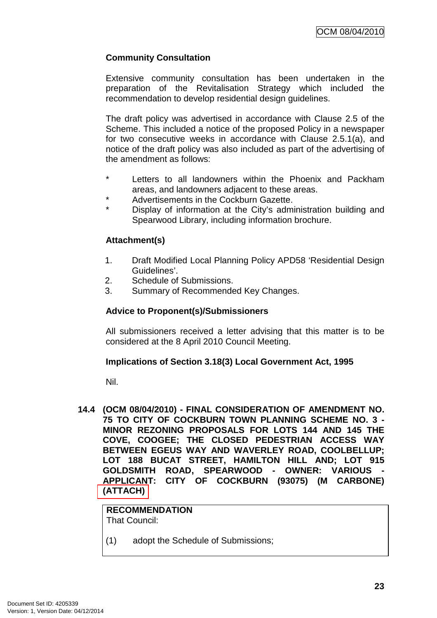## **Community Consultation**

Extensive community consultation has been undertaken in the preparation of the Revitalisation Strategy which included the recommendation to develop residential design guidelines.

The draft policy was advertised in accordance with Clause 2.5 of the Scheme. This included a notice of the proposed Policy in a newspaper for two consecutive weeks in accordance with Clause 2.5.1(a), and notice of the draft policy was also included as part of the advertising of the amendment as follows:

- Letters to all landowners within the Phoenix and Packham areas, and landowners adjacent to these areas.
- Advertisements in the Cockburn Gazette.
- Display of information at the City's administration building and Spearwood Library, including information brochure.

## **Attachment(s)**

- 1. Draft Modified Local Planning Policy APD58 'Residential Design Guidelines'.
- 2. Schedule of Submissions.
- 3. Summary of Recommended Key Changes.

## **Advice to Proponent(s)/Submissioners**

All submissioners received a letter advising that this matter is to be considered at the 8 April 2010 Council Meeting.

#### **Implications of Section 3.18(3) Local Government Act, 1995**

Nil.

**14.4 (OCM 08/04/2010) - FINAL CONSIDERATION OF AMENDMENT NO. 75 TO CITY OF COCKBURN TOWN PLANNING SCHEME NO. 3 - MINOR REZONING PROPOSALS FOR LOTS 144 AND 145 THE COVE, COOGEE; THE CLOSED PEDESTRIAN ACCESS WAY BETWEEN EGEUS WAY AND WAVERLEY ROAD, COOLBELLUP; LOT 188 BUCAT STREET, HAMILTON HILL AND; LOT 915**  GOLDSMITH ROAD, SPEARWOOD - OWNER: VARIOUS **APPLICANT: CITY OF COCKBURN (93075) (M CARBONE) (ATTACH)** 

**RECOMMENDATION** That Council:

(1) adopt the Schedule of Submissions;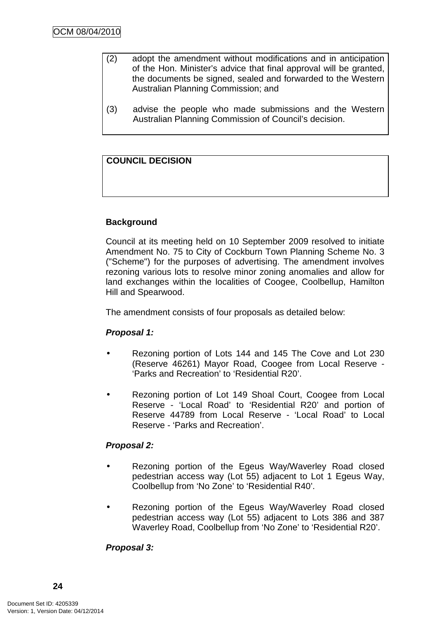- (2) adopt the amendment without modifications and in anticipation of the Hon. Minister's advice that final approval will be granted, the documents be signed, sealed and forwarded to the Western Australian Planning Commission; and
- (3) advise the people who made submissions and the Western Australian Planning Commission of Council's decision.

## **COUNCIL DECISION**

## **Background**

Council at its meeting held on 10 September 2009 resolved to initiate Amendment No. 75 to City of Cockburn Town Planning Scheme No. 3 ("Scheme") for the purposes of advertising. The amendment involves rezoning various lots to resolve minor zoning anomalies and allow for land exchanges within the localities of Coogee, Coolbellup, Hamilton Hill and Spearwood.

The amendment consists of four proposals as detailed below:

#### **Proposal 1:**

- Rezoning portion of Lots 144 and 145 The Cove and Lot 230 (Reserve 46261) Mayor Road, Coogee from Local Reserve - 'Parks and Recreation' to 'Residential R20'.
- Rezoning portion of Lot 149 Shoal Court, Coogee from Local Reserve - 'Local Road' to 'Residential R20' and portion of Reserve 44789 from Local Reserve - 'Local Road' to Local Reserve - 'Parks and Recreation'.

#### **Proposal 2:**

- Rezoning portion of the Egeus Way/Waverley Road closed pedestrian access way (Lot 55) adjacent to Lot 1 Egeus Way, Coolbellup from 'No Zone' to 'Residential R40'.
- Rezoning portion of the Egeus Way/Waverley Road closed pedestrian access way (Lot 55) adjacent to Lots 386 and 387 Waverley Road, Coolbellup from 'No Zone' to 'Residential R20'.

## **Proposal 3:**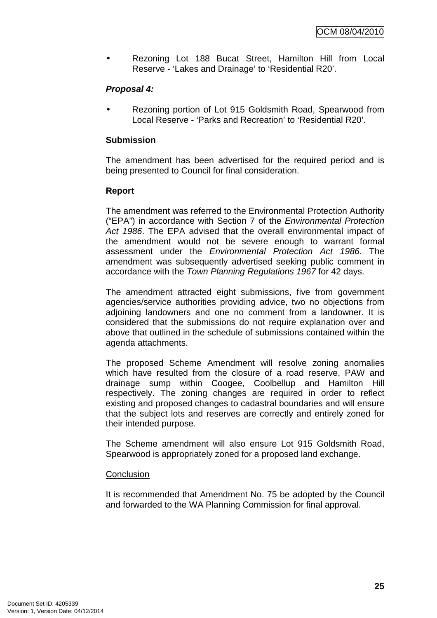• Rezoning Lot 188 Bucat Street, Hamilton Hill from Local Reserve - 'Lakes and Drainage' to 'Residential R20'.

## **Proposal 4:**

• Rezoning portion of Lot 915 Goldsmith Road, Spearwood from Local Reserve - 'Parks and Recreation' to 'Residential R20'.

## **Submission**

The amendment has been advertised for the required period and is being presented to Council for final consideration.

#### **Report**

The amendment was referred to the Environmental Protection Authority ("EPA") in accordance with Section 7 of the Environmental Protection Act 1986. The EPA advised that the overall environmental impact of the amendment would not be severe enough to warrant formal assessment under the Environmental Protection Act 1986. The amendment was subsequently advertised seeking public comment in accordance with the Town Planning Regulations 1967 for 42 days.

The amendment attracted eight submissions, five from government agencies/service authorities providing advice, two no objections from adjoining landowners and one no comment from a landowner. It is considered that the submissions do not require explanation over and above that outlined in the schedule of submissions contained within the agenda attachments.

The proposed Scheme Amendment will resolve zoning anomalies which have resulted from the closure of a road reserve, PAW and drainage sump within Coogee, Coolbellup and Hamilton Hill respectively. The zoning changes are required in order to reflect existing and proposed changes to cadastral boundaries and will ensure that the subject lots and reserves are correctly and entirely zoned for their intended purpose.

The Scheme amendment will also ensure Lot 915 Goldsmith Road, Spearwood is appropriately zoned for a proposed land exchange.

#### **Conclusion**

It is recommended that Amendment No. 75 be adopted by the Council and forwarded to the WA Planning Commission for final approval.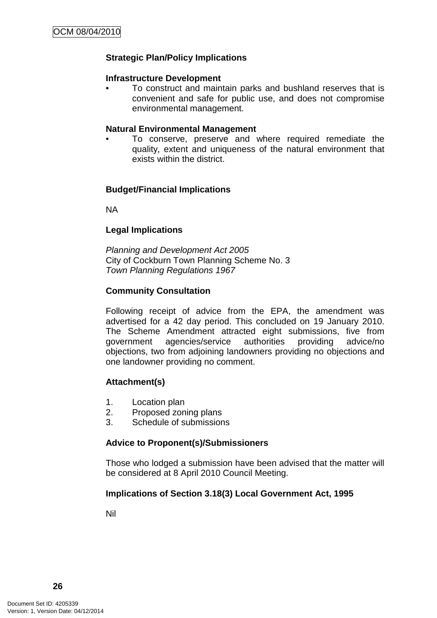## **Strategic Plan/Policy Implications**

#### **Infrastructure Development**

• To construct and maintain parks and bushland reserves that is convenient and safe for public use, and does not compromise environmental management.

#### **Natural Environmental Management**

• To conserve, preserve and where required remediate the quality, extent and uniqueness of the natural environment that exists within the district.

#### **Budget/Financial Implications**

NA

#### **Legal Implications**

Planning and Development Act 2005 City of Cockburn Town Planning Scheme No. 3 Town Planning Regulations 1967

#### **Community Consultation**

Following receipt of advice from the EPA, the amendment was advertised for a 42 day period. This concluded on 19 January 2010. The Scheme Amendment attracted eight submissions, five from government agencies/service authorities providing advice/no objections, two from adjoining landowners providing no objections and one landowner providing no comment.

#### **Attachment(s)**

- 1. Location plan
- 2. Proposed zoning plans
- 3. Schedule of submissions

#### **Advice to Proponent(s)/Submissioners**

Those who lodged a submission have been advised that the matter will be considered at 8 April 2010 Council Meeting.

#### **Implications of Section 3.18(3) Local Government Act, 1995**

Nil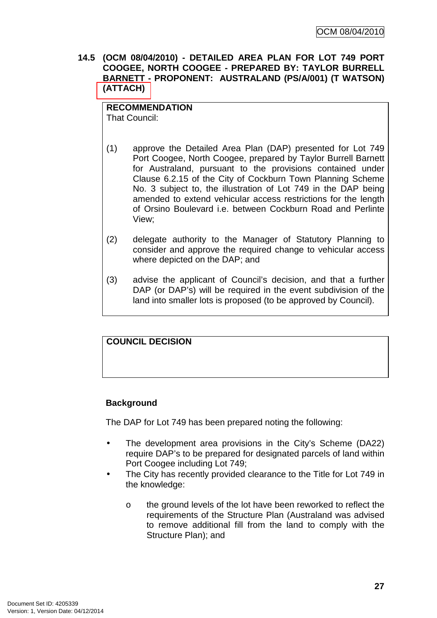**14.5 (OCM 08/04/2010) - DETAILED AREA PLAN FOR LOT 749 PORT COOGEE, NORTH COOGEE - PREPARED BY: TAYLOR BURRELL BARNETT - PROPONENT: AUSTRALAND (PS/A/001) (T WATSON) (ATTACH)** 

## **RECOMMENDATION**

That Council:

- (1) approve the Detailed Area Plan (DAP) presented for Lot 749 Port Coogee, North Coogee, prepared by Taylor Burrell Barnett for Australand, pursuant to the provisions contained under Clause 6.2.15 of the City of Cockburn Town Planning Scheme No. 3 subject to, the illustration of Lot 749 in the DAP being amended to extend vehicular access restrictions for the length of Orsino Boulevard i.e. between Cockburn Road and Perlinte View;
- (2) delegate authority to the Manager of Statutory Planning to consider and approve the required change to vehicular access where depicted on the DAP; and
- (3) advise the applicant of Council's decision, and that a further DAP (or DAP's) will be required in the event subdivision of the land into smaller lots is proposed (to be approved by Council).

## **COUNCIL DECISION**

## **Background**

The DAP for Lot 749 has been prepared noting the following:

- The development area provisions in the City's Scheme (DA22) require DAP's to be prepared for designated parcels of land within Port Coogee including Lot 749;
- The City has recently provided clearance to the Title for Lot 749 in the knowledge:
	- o the ground levels of the lot have been reworked to reflect the requirements of the Structure Plan (Australand was advised to remove additional fill from the land to comply with the Structure Plan); and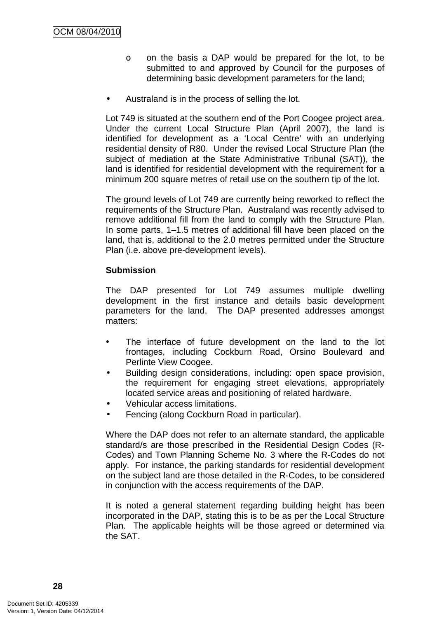- o on the basis a DAP would be prepared for the lot, to be submitted to and approved by Council for the purposes of determining basic development parameters for the land;
- Australand is in the process of selling the lot.

Lot 749 is situated at the southern end of the Port Coogee project area. Under the current Local Structure Plan (April 2007), the land is identified for development as a 'Local Centre' with an underlying residential density of R80. Under the revised Local Structure Plan (the subject of mediation at the State Administrative Tribunal (SAT)), the land is identified for residential development with the requirement for a minimum 200 square metres of retail use on the southern tip of the lot.

The ground levels of Lot 749 are currently being reworked to reflect the requirements of the Structure Plan. Australand was recently advised to remove additional fill from the land to comply with the Structure Plan. In some parts, 1–1.5 metres of additional fill have been placed on the land, that is, additional to the 2.0 metres permitted under the Structure Plan (i.e. above pre-development levels).

## **Submission**

The DAP presented for Lot 749 assumes multiple dwelling development in the first instance and details basic development parameters for the land. The DAP presented addresses amongst matters:

- The interface of future development on the land to the lot frontages, including Cockburn Road, Orsino Boulevard and Perlinte View Coogee.
- Building design considerations, including: open space provision, the requirement for engaging street elevations, appropriately located service areas and positioning of related hardware.
- Vehicular access limitations.
- Fencing (along Cockburn Road in particular).

Where the DAP does not refer to an alternate standard, the applicable standard/s are those prescribed in the Residential Design Codes (R-Codes) and Town Planning Scheme No. 3 where the R-Codes do not apply. For instance, the parking standards for residential development on the subject land are those detailed in the R-Codes, to be considered in conjunction with the access requirements of the DAP.

It is noted a general statement regarding building height has been incorporated in the DAP, stating this is to be as per the Local Structure Plan. The applicable heights will be those agreed or determined via the SAT.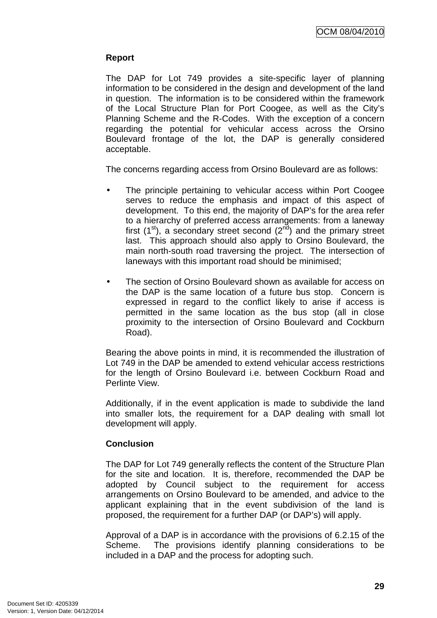## **Report**

The DAP for Lot 749 provides a site-specific layer of planning information to be considered in the design and development of the land in question. The information is to be considered within the framework of the Local Structure Plan for Port Coogee, as well as the City's Planning Scheme and the R-Codes. With the exception of a concern regarding the potential for vehicular access across the Orsino Boulevard frontage of the lot, the DAP is generally considered acceptable.

The concerns regarding access from Orsino Boulevard are as follows:

- The principle pertaining to vehicular access within Port Coogee serves to reduce the emphasis and impact of this aspect of development. To this end, the majority of DAP's for the area refer to a hierarchy of preferred access arrangements: from a laneway first  $(1<sup>st</sup>)$ , a secondary street second  $(2<sup>nd</sup>)$  and the primary street last. This approach should also apply to Orsino Boulevard, the main north-south road traversing the project. The intersection of laneways with this important road should be minimised;
- The section of Orsino Boulevard shown as available for access on the DAP is the same location of a future bus stop. Concern is expressed in regard to the conflict likely to arise if access is permitted in the same location as the bus stop (all in close proximity to the intersection of Orsino Boulevard and Cockburn Road).

Bearing the above points in mind, it is recommended the illustration of Lot 749 in the DAP be amended to extend vehicular access restrictions for the length of Orsino Boulevard i.e. between Cockburn Road and Perlinte View.

Additionally, if in the event application is made to subdivide the land into smaller lots, the requirement for a DAP dealing with small lot development will apply.

#### **Conclusion**

The DAP for Lot 749 generally reflects the content of the Structure Plan for the site and location. It is, therefore, recommended the DAP be adopted by Council subject to the requirement for access arrangements on Orsino Boulevard to be amended, and advice to the applicant explaining that in the event subdivision of the land is proposed, the requirement for a further DAP (or DAP's) will apply.

Approval of a DAP is in accordance with the provisions of 6.2.15 of the Scheme. The provisions identify planning considerations to be included in a DAP and the process for adopting such.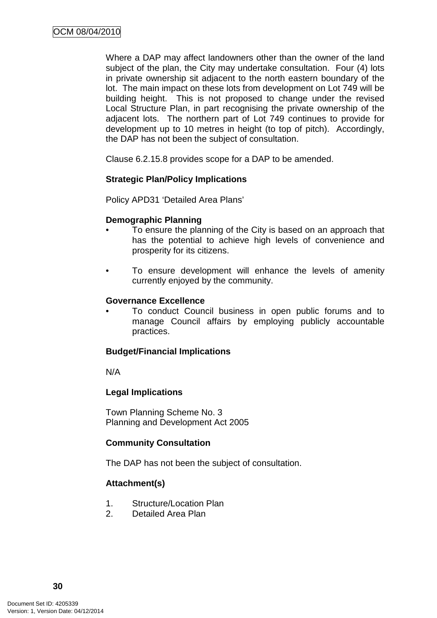Where a DAP may affect landowners other than the owner of the land subject of the plan, the City may undertake consultation. Four (4) lots in private ownership sit adjacent to the north eastern boundary of the lot. The main impact on these lots from development on Lot 749 will be building height. This is not proposed to change under the revised Local Structure Plan, in part recognising the private ownership of the adjacent lots. The northern part of Lot 749 continues to provide for development up to 10 metres in height (to top of pitch). Accordingly, the DAP has not been the subject of consultation.

Clause 6.2.15.8 provides scope for a DAP to be amended.

#### **Strategic Plan/Policy Implications**

Policy APD31 'Detailed Area Plans'

#### **Demographic Planning**

- To ensure the planning of the City is based on an approach that has the potential to achieve high levels of convenience and prosperity for its citizens.
- To ensure development will enhance the levels of amenity currently enjoyed by the community.

#### **Governance Excellence**

• To conduct Council business in open public forums and to manage Council affairs by employing publicly accountable practices.

#### **Budget/Financial Implications**

N/A

#### **Legal Implications**

Town Planning Scheme No. 3 Planning and Development Act 2005

#### **Community Consultation**

The DAP has not been the subject of consultation.

#### **Attachment(s)**

- 1. Structure/Location Plan
- 2. Detailed Area Plan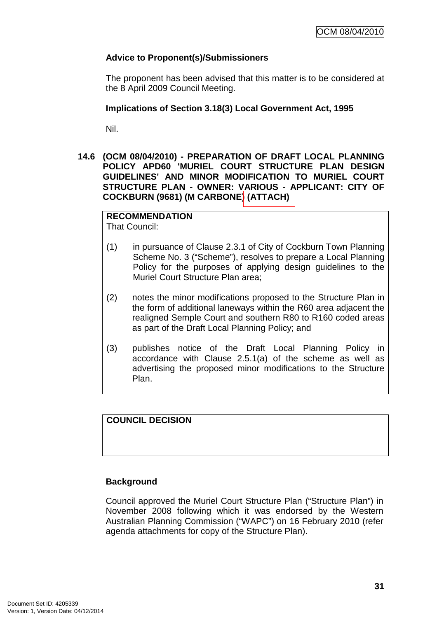## **Advice to Proponent(s)/Submissioners**

The proponent has been advised that this matter is to be considered at the 8 April 2009 Council Meeting.

## **Implications of Section 3.18(3) Local Government Act, 1995**

Nil.

**14.6 (OCM 08/04/2010) - PREPARATION OF DRAFT LOCAL PLANNING POLICY APD60 'MURIEL COURT STRUCTURE PLAN DESIGN GUIDELINES' AND MINOR MODIFICATION TO MURIEL COURT STRUCTURE PLAN - OWNER: VARIOUS - APPLICANT: CITY OF COCKBURN (9681) (M CARBONE) (ATTACH)** 

## **RECOMMENDATION**

That Council:

- (1) in pursuance of Clause 2.3.1 of City of Cockburn Town Planning Scheme No. 3 ("Scheme"), resolves to prepare a Local Planning Policy for the purposes of applying design guidelines to the Muriel Court Structure Plan area;
- (2) notes the minor modifications proposed to the Structure Plan in the form of additional laneways within the R60 area adjacent the realigned Semple Court and southern R80 to R160 coded areas as part of the Draft Local Planning Policy; and
- (3) publishes notice of the Draft Local Planning Policy in accordance with Clause 2.5.1(a) of the scheme as well as advertising the proposed minor modifications to the Structure Plan.

## **COUNCIL DECISION**

## **Background**

Council approved the Muriel Court Structure Plan ("Structure Plan") in November 2008 following which it was endorsed by the Western Australian Planning Commission ("WAPC") on 16 February 2010 (refer agenda attachments for copy of the Structure Plan).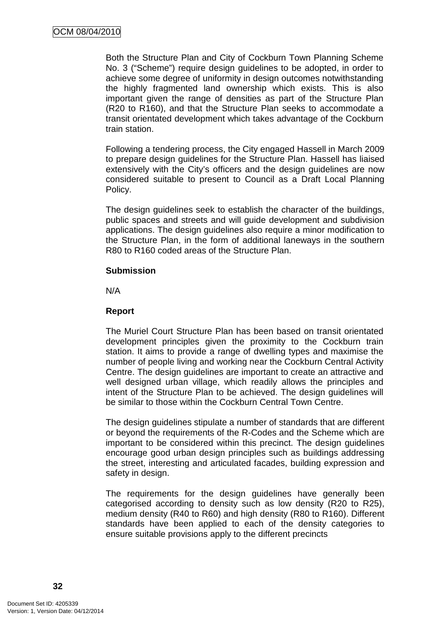Both the Structure Plan and City of Cockburn Town Planning Scheme No. 3 ("Scheme") require design guidelines to be adopted, in order to achieve some degree of uniformity in design outcomes notwithstanding the highly fragmented land ownership which exists. This is also important given the range of densities as part of the Structure Plan (R20 to R160), and that the Structure Plan seeks to accommodate a transit orientated development which takes advantage of the Cockburn train station.

Following a tendering process, the City engaged Hassell in March 2009 to prepare design guidelines for the Structure Plan. Hassell has liaised extensively with the City's officers and the design guidelines are now considered suitable to present to Council as a Draft Local Planning Policy.

The design guidelines seek to establish the character of the buildings, public spaces and streets and will guide development and subdivision applications. The design guidelines also require a minor modification to the Structure Plan, in the form of additional laneways in the southern R80 to R160 coded areas of the Structure Plan.

#### **Submission**

N/A

#### **Report**

The Muriel Court Structure Plan has been based on transit orientated development principles given the proximity to the Cockburn train station. It aims to provide a range of dwelling types and maximise the number of people living and working near the Cockburn Central Activity Centre. The design guidelines are important to create an attractive and well designed urban village, which readily allows the principles and intent of the Structure Plan to be achieved. The design guidelines will be similar to those within the Cockburn Central Town Centre.

The design guidelines stipulate a number of standards that are different or beyond the requirements of the R-Codes and the Scheme which are important to be considered within this precinct. The design guidelines encourage good urban design principles such as buildings addressing the street, interesting and articulated facades, building expression and safety in design.

The requirements for the design guidelines have generally been categorised according to density such as low density (R20 to R25), medium density (R40 to R60) and high density (R80 to R160). Different standards have been applied to each of the density categories to ensure suitable provisions apply to the different precincts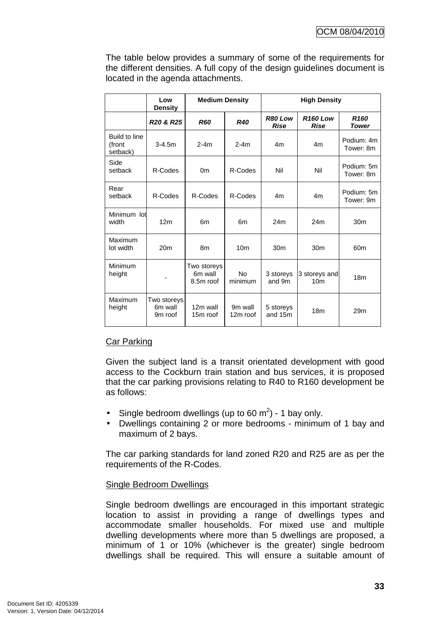The table below provides a summary of some of the requirements for the different densities. A full copy of the design guidelines document is located in the agenda attachments.

|                                     | Low<br><b>Density</b>                         | <b>Medium Density</b>               |                           | <b>High Density</b>    |                                  |                           |
|-------------------------------------|-----------------------------------------------|-------------------------------------|---------------------------|------------------------|----------------------------------|---------------------------|
|                                     | R <sub>20</sub> & R <sub>25</sub>             | <b>R60</b>                          | <b>R40</b>                | R80 Low<br><b>Rise</b> | <b>R160 Low</b><br><b>Rise</b>   | R <sub>160</sub><br>Tower |
| Build to line<br>(front<br>setback) | $3 - 4.5m$                                    | $2-4m$                              | $2-4m$                    | 4m                     | 4m                               | Podium: 4m<br>Tower: 8m   |
| Side<br>setback                     | R-Codes                                       | 0 <sub>m</sub>                      | R-Codes                   | Nil                    | Nil                              | Podium: 5m<br>Tower: 8m   |
| Rear<br>setback                     | R-Codes                                       | R-Codes                             | R-Codes                   | 4 <sub>m</sub>         | 4m                               | Podium: 5m<br>Tower: 9m   |
| Minimum lot<br>width                | 12m                                           | 6 <sub>m</sub>                      | 6m                        | 24m                    | 24m                              | 30 <sub>m</sub>           |
| Maximum<br>lot width                | 20 <sub>m</sub>                               | 8m                                  | 10 <sub>m</sub>           | 30 <sub>m</sub>        | 30 <sub>m</sub>                  | 60 <sub>m</sub>           |
| Minimum<br>height                   |                                               | Two storeys<br>6m wall<br>8.5m roof | N <sub>0</sub><br>minimum | 3 storeys<br>and 9m    | 3 storeys and<br>10 <sub>m</sub> | 18 <sub>m</sub>           |
| Maximum<br>height                   | Two storeys<br>6m wall<br>9 <sub>m</sub> roof | 12m wall<br>15m roof                | 9m wall<br>12m roof       | 5 storeys<br>and 15m   | 18 <sub>m</sub>                  | 29 <sub>m</sub>           |

# Car Parking

Given the subject land is a transit orientated development with good access to the Cockburn train station and bus services, it is proposed that the car parking provisions relating to R40 to R160 development be as follows:

- Single bedroom dwellings (up to 60 m<sup>2</sup>) 1 bay only.
- Dwellings containing 2 or more bedrooms minimum of 1 bay and maximum of 2 bays.

The car parking standards for land zoned R20 and R25 are as per the requirements of the R-Codes.

### Single Bedroom Dwellings

Single bedroom dwellings are encouraged in this important strategic location to assist in providing a range of dwellings types and accommodate smaller households. For mixed use and multiple dwelling developments where more than 5 dwellings are proposed, a minimum of 1 or 10% (whichever is the greater) single bedroom dwellings shall be required. This will ensure a suitable amount of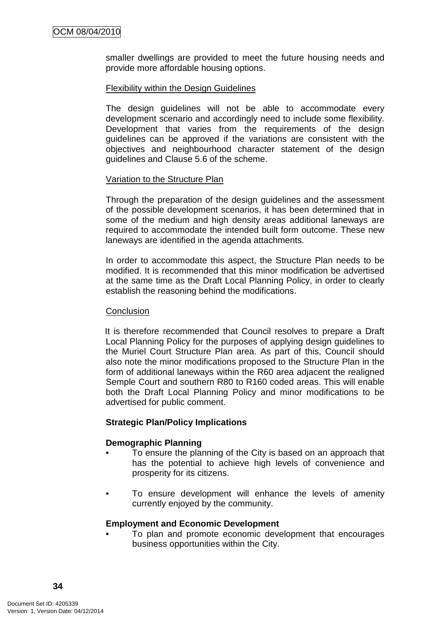smaller dwellings are provided to meet the future housing needs and provide more affordable housing options.

### Flexibility within the Design Guidelines

The design guidelines will not be able to accommodate every development scenario and accordingly need to include some flexibility. Development that varies from the requirements of the design guidelines can be approved if the variations are consistent with the objectives and neighbourhood character statement of the design guidelines and Clause 5.6 of the scheme.

## Variation to the Structure Plan

Through the preparation of the design guidelines and the assessment of the possible development scenarios, it has been determined that in some of the medium and high density areas additional laneways are required to accommodate the intended built form outcome. These new laneways are identified in the agenda attachments.

In order to accommodate this aspect, the Structure Plan needs to be modified. It is recommended that this minor modification be advertised at the same time as the Draft Local Planning Policy, in order to clearly establish the reasoning behind the modifications.

### **Conclusion**

It is therefore recommended that Council resolves to prepare a Draft Local Planning Policy for the purposes of applying design guidelines to the Muriel Court Structure Plan area. As part of this, Council should also note the minor modifications proposed to the Structure Plan in the form of additional laneways within the R60 area adjacent the realigned Semple Court and southern R80 to R160 coded areas. This will enable both the Draft Local Planning Policy and minor modifications to be advertised for public comment.

### **Strategic Plan/Policy Implications**

### **Demographic Planning**

- To ensure the planning of the City is based on an approach that has the potential to achieve high levels of convenience and prosperity for its citizens.
- To ensure development will enhance the levels of amenity currently enjoyed by the community.

### **Employment and Economic Development**

• To plan and promote economic development that encourages business opportunities within the City.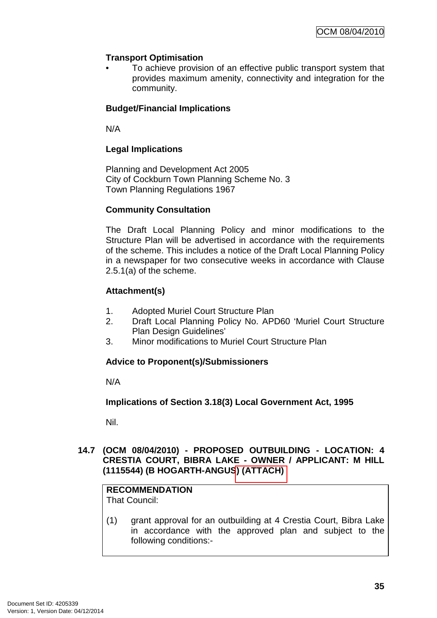# **Transport Optimisation**

• To achieve provision of an effective public transport system that provides maximum amenity, connectivity and integration for the community.

# **Budget/Financial Implications**

N/A

# **Legal Implications**

Planning and Development Act 2005 City of Cockburn Town Planning Scheme No. 3 Town Planning Regulations 1967

# **Community Consultation**

The Draft Local Planning Policy and minor modifications to the Structure Plan will be advertised in accordance with the requirements of the scheme. This includes a notice of the Draft Local Planning Policy in a newspaper for two consecutive weeks in accordance with Clause 2.5.1(a) of the scheme.

# **Attachment(s)**

- 1. Adopted Muriel Court Structure Plan
- 2. Draft Local Planning Policy No. APD60 'Muriel Court Structure Plan Design Guidelines'
- 3. Minor modifications to Muriel Court Structure Plan

# **Advice to Proponent(s)/Submissioners**

N/A

**Implications of Section 3.18(3) Local Government Act, 1995**

Nil.

## **14.7 (OCM 08/04/2010) - PROPOSED OUTBUILDING - LOCATION: 4 CRESTIA COURT, BIBRA LAKE - OWNER / APPLICANT: M HILL (1115544) (B HOGARTH-ANGUS) (ATTACH)**

#### **RECOMMENDATION** That Council:

(1) grant approval for an outbuilding at 4 Crestia Court, Bibra Lake in accordance with the approved plan and subject to the following conditions:-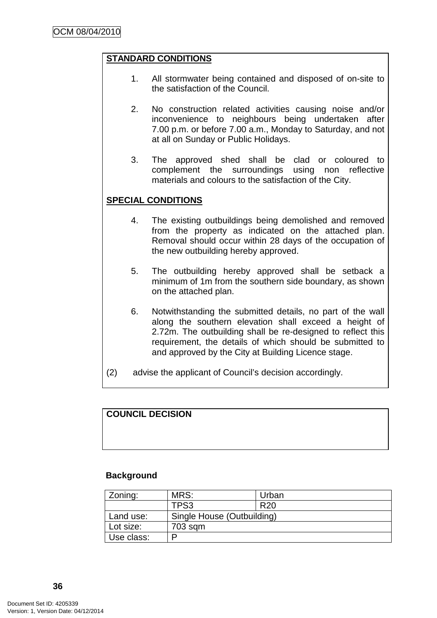### **STANDARD CONDITIONS**

- 1. All stormwater being contained and disposed of on-site to the satisfaction of the Council.
- 2. No construction related activities causing noise and/or inconvenience to neighbours being undertaken after 7.00 p.m. or before 7.00 a.m., Monday to Saturday, and not at all on Sunday or Public Holidays.
- 3. The approved shed shall be clad or coloured to complement the surroundings using non reflective materials and colours to the satisfaction of the City.

### **SPECIAL CONDITIONS**

- 4. The existing outbuildings being demolished and removed from the property as indicated on the attached plan. Removal should occur within 28 days of the occupation of the new outbuilding hereby approved.
- 5. The outbuilding hereby approved shall be setback a minimum of 1m from the southern side boundary, as shown on the attached plan.
- 6. Notwithstanding the submitted details, no part of the wall along the southern elevation shall exceed a height of 2.72m. The outbuilding shall be re-designed to reflect this requirement, the details of which should be submitted to and approved by the City at Building Licence stage.
- (2) advise the applicant of Council's decision accordingly.

#### **COUNCIL DECISION**

#### **Background**

| Zoning:    | MRS:                       | Urban           |  |
|------------|----------------------------|-----------------|--|
|            | TPS3                       | R <sub>20</sub> |  |
| Land use:  | Single House (Outbuilding) |                 |  |
| Lot size:  | 703 sqm                    |                 |  |
| Use class: |                            |                 |  |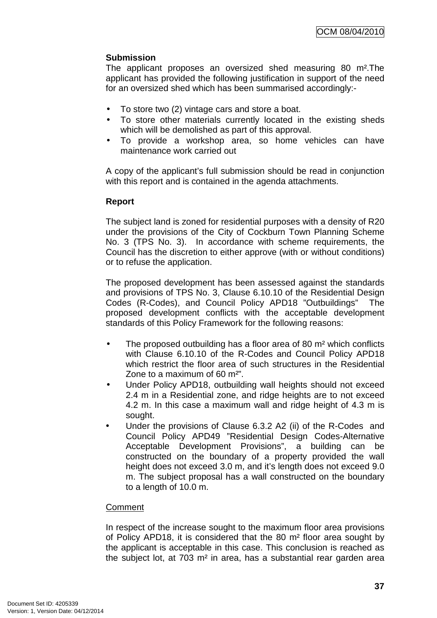# **Submission**

The applicant proposes an oversized shed measuring 80 m².The applicant has provided the following justification in support of the need for an oversized shed which has been summarised accordingly:-

- To store two (2) vintage cars and store a boat.
- To store other materials currently located in the existing sheds which will be demolished as part of this approval.
- To provide a workshop area, so home vehicles can have maintenance work carried out

A copy of the applicant's full submission should be read in conjunction with this report and is contained in the agenda attachments.

## **Report**

The subject land is zoned for residential purposes with a density of R20 under the provisions of the City of Cockburn Town Planning Scheme No. 3 (TPS No. 3). In accordance with scheme requirements, the Council has the discretion to either approve (with or without conditions) or to refuse the application.

The proposed development has been assessed against the standards and provisions of TPS No. 3, Clause 6.10.10 of the Residential Design Codes (R-Codes), and Council Policy APD18 "Outbuildings" The proposed development conflicts with the acceptable development standards of this Policy Framework for the following reasons:

- The proposed outbuilding has a floor area of 80 m<sup>2</sup> which conflicts with Clause 6.10.10 of the R-Codes and Council Policy APD18 which restrict the floor area of such structures in the Residential Zone to a maximum of 60 m²".
- Under Policy APD18, outbuilding wall heights should not exceed 2.4 m in a Residential zone, and ridge heights are to not exceed 4.2 m. In this case a maximum wall and ridge height of 4.3 m is sought.
- Under the provisions of Clause 6.3.2 A2 (ii) of the R-Codes and Council Policy APD49 "Residential Design Codes-Alternative Acceptable Development Provisions", a building can be constructed on the boundary of a property provided the wall height does not exceed 3.0 m, and it's length does not exceed 9.0 m. The subject proposal has a wall constructed on the boundary to a length of 10.0 m.

### **Comment**

In respect of the increase sought to the maximum floor area provisions of Policy APD18, it is considered that the 80 m² floor area sought by the applicant is acceptable in this case. This conclusion is reached as the subject lot, at 703 m² in area, has a substantial rear garden area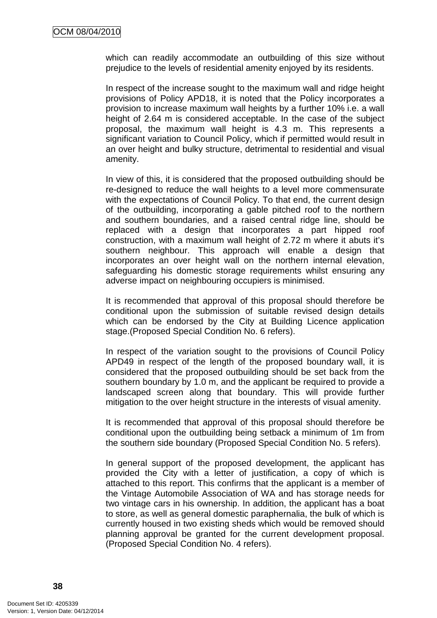which can readily accommodate an outbuilding of this size without prejudice to the levels of residential amenity enjoyed by its residents.

In respect of the increase sought to the maximum wall and ridge height provisions of Policy APD18, it is noted that the Policy incorporates a provision to increase maximum wall heights by a further 10% i.e. a wall height of 2.64 m is considered acceptable. In the case of the subject proposal, the maximum wall height is 4.3 m. This represents a significant variation to Council Policy, which if permitted would result in an over height and bulky structure, detrimental to residential and visual amenity.

In view of this, it is considered that the proposed outbuilding should be re-designed to reduce the wall heights to a level more commensurate with the expectations of Council Policy. To that end, the current design of the outbuilding, incorporating a gable pitched roof to the northern and southern boundaries, and a raised central ridge line, should be replaced with a design that incorporates a part hipped roof construction, with a maximum wall height of 2.72 m where it abuts it's southern neighbour. This approach will enable a design that incorporates an over height wall on the northern internal elevation, safeguarding his domestic storage requirements whilst ensuring any adverse impact on neighbouring occupiers is minimised.

It is recommended that approval of this proposal should therefore be conditional upon the submission of suitable revised design details which can be endorsed by the City at Building Licence application stage.(Proposed Special Condition No. 6 refers).

In respect of the variation sought to the provisions of Council Policy APD49 in respect of the length of the proposed boundary wall, it is considered that the proposed outbuilding should be set back from the southern boundary by 1.0 m, and the applicant be required to provide a landscaped screen along that boundary. This will provide further mitigation to the over height structure in the interests of visual amenity.

It is recommended that approval of this proposal should therefore be conditional upon the outbuilding being setback a minimum of 1m from the southern side boundary (Proposed Special Condition No. 5 refers).

In general support of the proposed development, the applicant has provided the City with a letter of justification, a copy of which is attached to this report. This confirms that the applicant is a member of the Vintage Automobile Association of WA and has storage needs for two vintage cars in his ownership. In addition, the applicant has a boat to store, as well as general domestic paraphernalia, the bulk of which is currently housed in two existing sheds which would be removed should planning approval be granted for the current development proposal. (Proposed Special Condition No. 4 refers).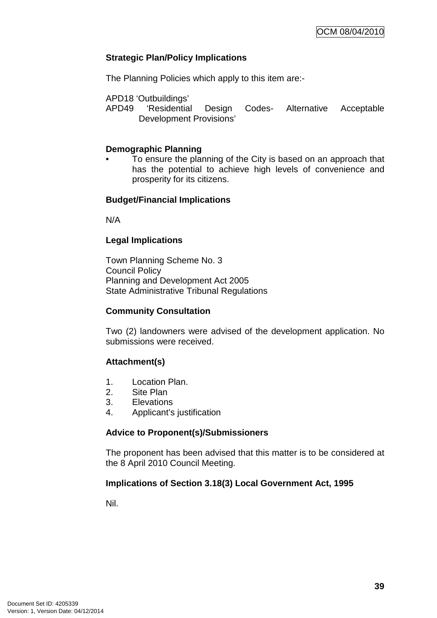## **Strategic Plan/Policy Implications**

The Planning Policies which apply to this item are:-

APD18 'Outbuildings'

APD49 'Residential Design Codes- Alternative Acceptable Development Provisions'

### **Demographic Planning**

• To ensure the planning of the City is based on an approach that has the potential to achieve high levels of convenience and prosperity for its citizens.

## **Budget/Financial Implications**

N/A

## **Legal Implications**

Town Planning Scheme No. 3 Council Policy Planning and Development Act 2005 State Administrative Tribunal Regulations

### **Community Consultation**

Two (2) landowners were advised of the development application. No submissions were received.

# **Attachment(s)**

- 1. Location Plan.
- 2. Site Plan
- 3. Elevations
- 4. Applicant's justification

### **Advice to Proponent(s)/Submissioners**

The proponent has been advised that this matter is to be considered at the 8 April 2010 Council Meeting.

### **Implications of Section 3.18(3) Local Government Act, 1995**

Nil.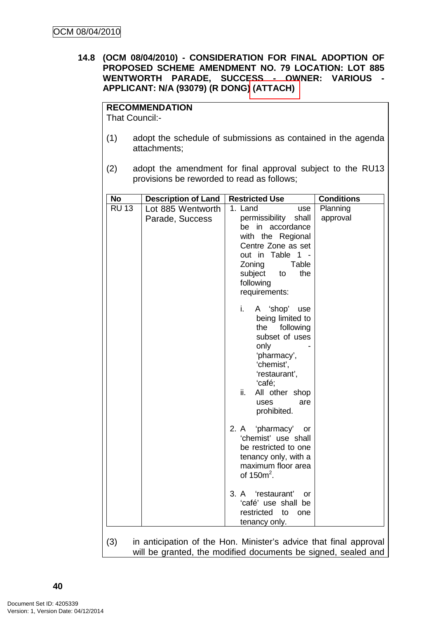## **14.8 (OCM 08/04/2010) - CONSIDERATION FOR FINAL ADOPTION OF PROPOSED SCHEME AMENDMENT NO. 79 LOCATION: LOT 885 WENTWORTH PARADE, SUCCESS - OWNER: VARIOUS - APPLICANT: N/A (93079) (R DONG) (ATTACH)**

# **RECOMMENDATION**

That Council:-

- (1) adopt the schedule of submissions as contained in the agenda attachments;
- (2) adopt the amendment for final approval subject to the RU13 provisions be reworded to read as follows;

| No           | <b>Description of Land</b>           | <b>Restricted Use</b>                                                                                                                                                                                    | <b>Conditions</b>    |
|--------------|--------------------------------------|----------------------------------------------------------------------------------------------------------------------------------------------------------------------------------------------------------|----------------------|
| <b>RU 13</b> | Lot 885 Wentworth<br>Parade, Success | 1. Land<br>use<br>permissibility<br>shall<br>in accordance<br>be<br>with the Regional<br>Centre Zone as set<br>out in Table 1 -<br>Zoning<br>Table<br>subject<br>the<br>to<br>following<br>requirements: | Planning<br>approval |
|              |                                      | i.<br>A 'shop'<br>use<br>being limited to<br>the<br>following<br>subset of uses<br>only<br>'pharmacy',<br>'chemist',<br>'restaurant',<br>'café;<br>ii.<br>All other shop<br>uses<br>are<br>prohibited.   |                      |
|              |                                      | 2. A 'pharmacy'<br>or<br>'chemist' use shall<br>be restricted to one<br>tenancy only, with a<br>maximum floor area<br>of $150m^2$ .                                                                      |                      |
|              |                                      | 3. A 'restaurant'<br>or<br>'café' use shall be<br>restricted to<br>one<br>tenancy only.                                                                                                                  |                      |
| (3)          |                                      | in anticipation of the Hon. Minister's advice that final approval<br>will be granted, the modified documents be signed, sealed and                                                                       |                      |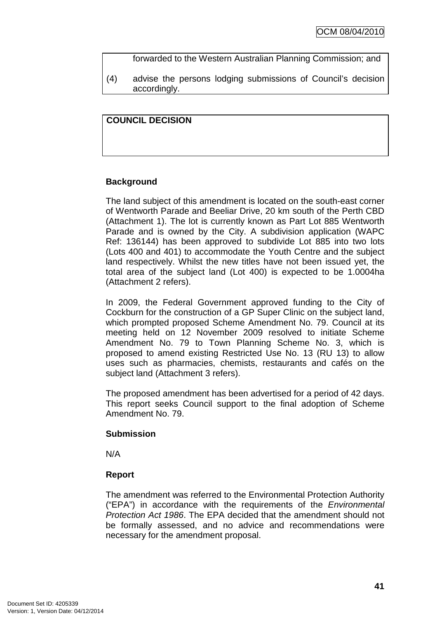forwarded to the Western Australian Planning Commission; and

(4) advise the persons lodging submissions of Council's decision accordingly.

## **COUNCIL DECISION**

# **Background**

The land subject of this amendment is located on the south-east corner of Wentworth Parade and Beeliar Drive, 20 km south of the Perth CBD (Attachment 1). The lot is currently known as Part Lot 885 Wentworth Parade and is owned by the City. A subdivision application (WAPC Ref: 136144) has been approved to subdivide Lot 885 into two lots (Lots 400 and 401) to accommodate the Youth Centre and the subject land respectively. Whilst the new titles have not been issued yet, the total area of the subject land (Lot 400) is expected to be 1.0004ha (Attachment 2 refers).

In 2009, the Federal Government approved funding to the City of Cockburn for the construction of a GP Super Clinic on the subject land, which prompted proposed Scheme Amendment No. 79. Council at its meeting held on 12 November 2009 resolved to initiate Scheme Amendment No. 79 to Town Planning Scheme No. 3, which is proposed to amend existing Restricted Use No. 13 (RU 13) to allow uses such as pharmacies, chemists, restaurants and cafés on the subject land (Attachment 3 refers).

The proposed amendment has been advertised for a period of 42 days. This report seeks Council support to the final adoption of Scheme Amendment No. 79.

### **Submission**

N/A

# **Report**

The amendment was referred to the Environmental Protection Authority ("EPA") in accordance with the requirements of the Environmental Protection Act 1986. The EPA decided that the amendment should not be formally assessed, and no advice and recommendations were necessary for the amendment proposal.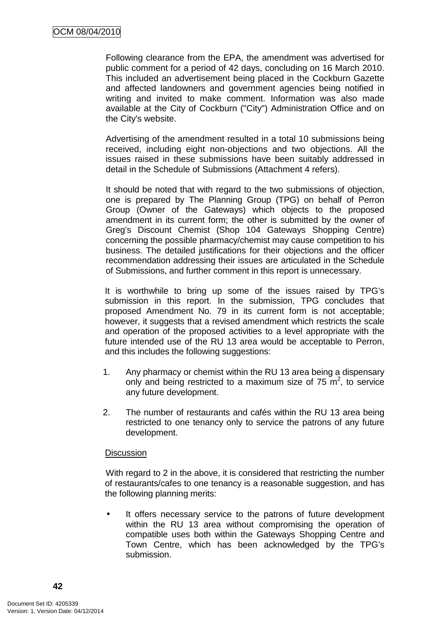Following clearance from the EPA, the amendment was advertised for public comment for a period of 42 days, concluding on 16 March 2010. This included an advertisement being placed in the Cockburn Gazette and affected landowners and government agencies being notified in writing and invited to make comment. Information was also made available at the City of Cockburn ("City") Administration Office and on the City's website.

Advertising of the amendment resulted in a total 10 submissions being received, including eight non-objections and two objections. All the issues raised in these submissions have been suitably addressed in detail in the Schedule of Submissions (Attachment 4 refers).

It should be noted that with regard to the two submissions of objection, one is prepared by The Planning Group (TPG) on behalf of Perron Group (Owner of the Gateways) which objects to the proposed amendment in its current form; the other is submitted by the owner of Greg's Discount Chemist (Shop 104 Gateways Shopping Centre) concerning the possible pharmacy/chemist may cause competition to his business. The detailed justifications for their objections and the officer recommendation addressing their issues are articulated in the Schedule of Submissions, and further comment in this report is unnecessary.

It is worthwhile to bring up some of the issues raised by TPG's submission in this report. In the submission, TPG concludes that proposed Amendment No. 79 in its current form is not acceptable; however, it suggests that a revised amendment which restricts the scale and operation of the proposed activities to a level appropriate with the future intended use of the RU 13 area would be acceptable to Perron, and this includes the following suggestions:

- 1. Any pharmacy or chemist within the RU 13 area being a dispensary only and being restricted to a maximum size of  $75 \text{ m}^2$ , to service any future development.
- 2. The number of restaurants and cafés within the RU 13 area being restricted to one tenancy only to service the patrons of any future development.

### **Discussion**

With regard to 2 in the above, it is considered that restricting the number of restaurants/cafes to one tenancy is a reasonable suggestion, and has the following planning merits:

• It offers necessary service to the patrons of future development within the RU 13 area without compromising the operation of compatible uses both within the Gateways Shopping Centre and Town Centre, which has been acknowledged by the TPG's submission.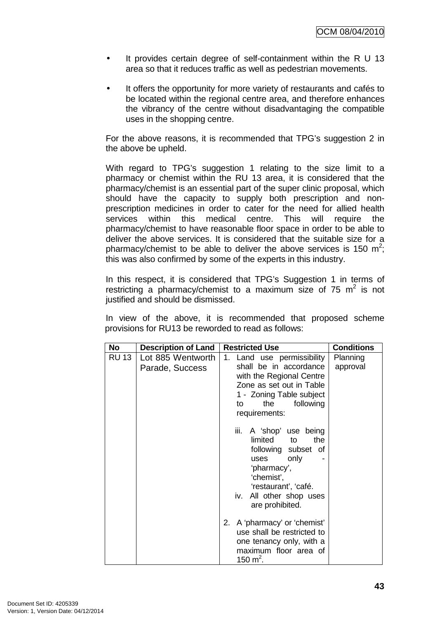- It provides certain degree of self-containment within the R U 13 area so that it reduces traffic as well as pedestrian movements.
- It offers the opportunity for more variety of restaurants and cafés to be located within the regional centre area, and therefore enhances the vibrancy of the centre without disadvantaging the compatible uses in the shopping centre.

For the above reasons, it is recommended that TPG's suggestion 2 in the above be upheld.

With regard to TPG's suggestion 1 relating to the size limit to a pharmacy or chemist within the RU 13 area, it is considered that the pharmacy/chemist is an essential part of the super clinic proposal, which should have the capacity to supply both prescription and nonprescription medicines in order to cater for the need for allied health services within this medical centre. This will require the pharmacy/chemist to have reasonable floor space in order to be able to deliver the above services. It is considered that the suitable size for a pharmacy/chemist to be able to deliver the above services is 150  $m^2$ ; this was also confirmed by some of the experts in this industry.

In this respect, it is considered that TPG's Suggestion 1 in terms of restricting a pharmacy/chemist to a maximum size of 75  $m^2$  is not justified and should be dismissed.

In view of the above, it is recommended that proposed scheme provisions for RU13 be reworded to read as follows:

| No           | <b>Description of Land</b>           | <b>Restricted Use</b>                                                                                                                                                                        | <b>Conditions</b>    |
|--------------|--------------------------------------|----------------------------------------------------------------------------------------------------------------------------------------------------------------------------------------------|----------------------|
| <b>RU 13</b> | Lot 885 Wentworth<br>Parade, Success | 1. Land use permissibility<br>shall be in accordance<br>with the Regional Centre<br>Zone as set out in Table<br>1 - Zoning Table subject<br>the<br>following<br>to<br>requirements:          | Planning<br>approval |
|              |                                      | iii.<br>A 'shop' use being<br>limited<br>the<br>to<br>following subset of<br>only<br>uses<br>'pharmacy',<br>'chemist',<br>'restaurant', 'café.<br>iv. All other shop uses<br>are prohibited. |                      |
|              |                                      | 2. A 'pharmacy' or 'chemist'<br>use shall be restricted to<br>one tenancy only, with a<br>maximum floor area of<br>150 m <sup>2</sup> .                                                      |                      |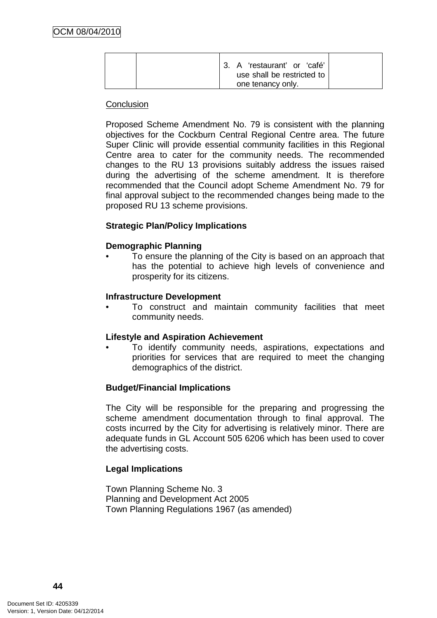| 3. A 'restaurant' or 'café'<br>use shall be restricted to |  |
|-----------------------------------------------------------|--|
| one tenancy only.                                         |  |

#### **Conclusion**

Proposed Scheme Amendment No. 79 is consistent with the planning objectives for the Cockburn Central Regional Centre area. The future Super Clinic will provide essential community facilities in this Regional Centre area to cater for the community needs. The recommended changes to the RU 13 provisions suitably address the issues raised during the advertising of the scheme amendment. It is therefore recommended that the Council adopt Scheme Amendment No. 79 for final approval subject to the recommended changes being made to the proposed RU 13 scheme provisions.

### **Strategic Plan/Policy Implications**

### **Demographic Planning**

• To ensure the planning of the City is based on an approach that has the potential to achieve high levels of convenience and prosperity for its citizens.

#### **Infrastructure Development**

• To construct and maintain community facilities that meet community needs.

#### **Lifestyle and Aspiration Achievement**

• To identify community needs, aspirations, expectations and priorities for services that are required to meet the changing demographics of the district.

#### **Budget/Financial Implications**

The City will be responsible for the preparing and progressing the scheme amendment documentation through to final approval. The costs incurred by the City for advertising is relatively minor. There are adequate funds in GL Account 505 6206 which has been used to cover the advertising costs.

### **Legal Implications**

Town Planning Scheme No. 3 Planning and Development Act 2005 Town Planning Regulations 1967 (as amended)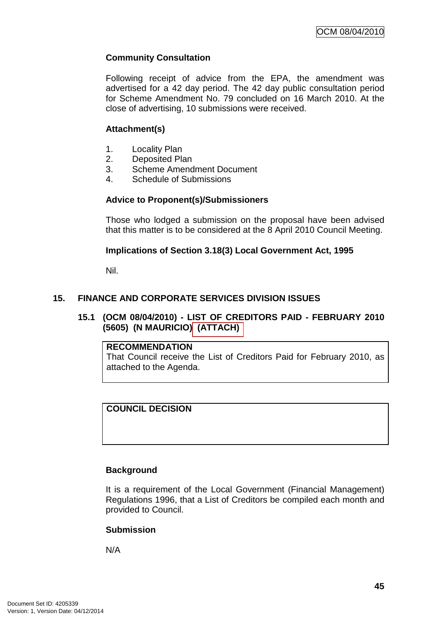# **Community Consultation**

Following receipt of advice from the EPA, the amendment was advertised for a 42 day period. The 42 day public consultation period for Scheme Amendment No. 79 concluded on 16 March 2010. At the close of advertising, 10 submissions were received.

## **Attachment(s)**

- 1. Locality Plan
- 2. Deposited Plan
- 3. Scheme Amendment Document
- 4. Schedule of Submissions

## **Advice to Proponent(s)/Submissioners**

Those who lodged a submission on the proposal have been advised that this matter is to be considered at the 8 April 2010 Council Meeting.

## **Implications of Section 3.18(3) Local Government Act, 1995**

Nil.

# **15. FINANCE AND CORPORATE SERVICES DIVISION ISSUES**

## **15.1 (OCM 08/04/2010) - LIST OF CREDITORS PAID - FEBRUARY 2010 (5605) (N MAURICIO) (ATTACH)**

### **RECOMMENDATION**

That Council receive the List of Creditors Paid for February 2010, as attached to the Agenda.

# **COUNCIL DECISION**

# **Background**

It is a requirement of the Local Government (Financial Management) Regulations 1996, that a List of Creditors be compiled each month and provided to Council.

# **Submission**

N/A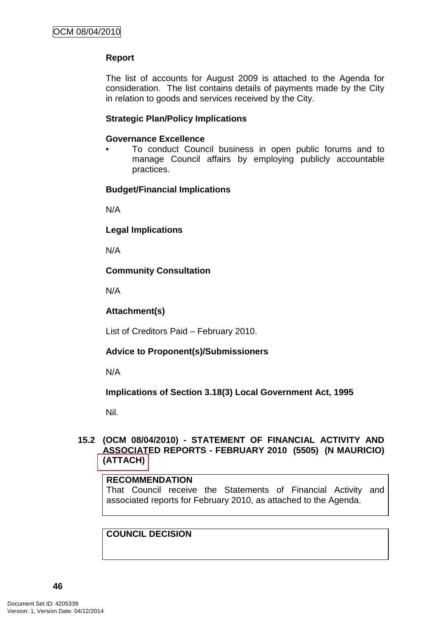# **Report**

The list of accounts for August 2009 is attached to the Agenda for consideration. The list contains details of payments made by the City in relation to goods and services received by the City.

### **Strategic Plan/Policy Implications**

### **Governance Excellence**

• To conduct Council business in open public forums and to manage Council affairs by employing publicly accountable practices.

## **Budget/Financial Implications**

N/A

**Legal Implications** 

N/A

## **Community Consultation**

N/A

### **Attachment(s)**

List of Creditors Paid – February 2010.

# **Advice to Proponent(s)/Submissioners**

N/A

**Implications of Section 3.18(3) Local Government Act, 1995**

Nil.

## **15.2 (OCM 08/04/2010) - STATEMENT OF FINANCIAL ACTIVITY AND ASSOCIATED REPORTS - FEBRUARY 2010 (5505) (N MAURICIO) (ATTACH)**

### **RECOMMENDATION**

That Council receive the Statements of Financial Activity and associated reports for February 2010, as attached to the Agenda.

### **COUNCIL DECISION**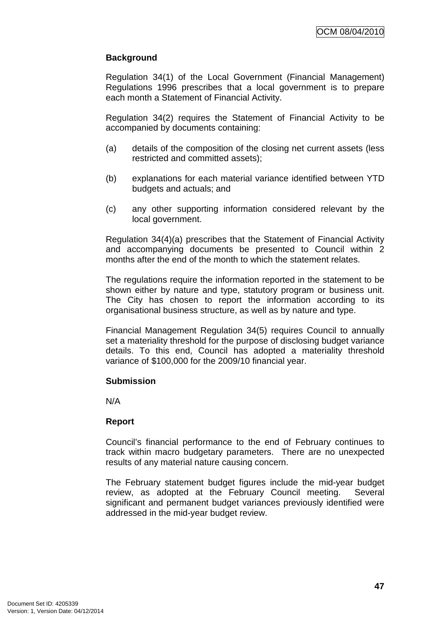# **Background**

Regulation 34(1) of the Local Government (Financial Management) Regulations 1996 prescribes that a local government is to prepare each month a Statement of Financial Activity.

Regulation 34(2) requires the Statement of Financial Activity to be accompanied by documents containing:

- (a) details of the composition of the closing net current assets (less restricted and committed assets);
- (b) explanations for each material variance identified between YTD budgets and actuals; and
- (c) any other supporting information considered relevant by the local government.

Regulation 34(4)(a) prescribes that the Statement of Financial Activity and accompanying documents be presented to Council within 2 months after the end of the month to which the statement relates.

The regulations require the information reported in the statement to be shown either by nature and type, statutory program or business unit. The City has chosen to report the information according to its organisational business structure, as well as by nature and type.

Financial Management Regulation 34(5) requires Council to annually set a materiality threshold for the purpose of disclosing budget variance details. To this end, Council has adopted a materiality threshold variance of \$100,000 for the 2009/10 financial year.

### **Submission**

N/A

### **Report**

Council's financial performance to the end of February continues to track within macro budgetary parameters. There are no unexpected results of any material nature causing concern.

The February statement budget figures include the mid-year budget review, as adopted at the February Council meeting. Several significant and permanent budget variances previously identified were addressed in the mid-year budget review.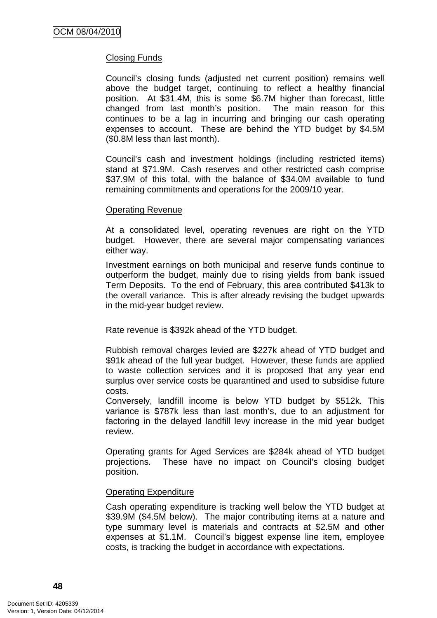## Closing Funds

Council's closing funds (adjusted net current position) remains well above the budget target, continuing to reflect a healthy financial position. At \$31.4M, this is some \$6.7M higher than forecast, little changed from last month's position. The main reason for this continues to be a lag in incurring and bringing our cash operating expenses to account. These are behind the YTD budget by \$4.5M (\$0.8M less than last month).

Council's cash and investment holdings (including restricted items) stand at \$71.9M. Cash reserves and other restricted cash comprise \$37.9M of this total, with the balance of \$34.0M available to fund remaining commitments and operations for the 2009/10 year.

#### Operating Revenue

At a consolidated level, operating revenues are right on the YTD budget. However, there are several major compensating variances either way.

Investment earnings on both municipal and reserve funds continue to outperform the budget, mainly due to rising yields from bank issued Term Deposits. To the end of February, this area contributed \$413k to the overall variance. This is after already revising the budget upwards in the mid-year budget review.

Rate revenue is \$392k ahead of the YTD budget.

Rubbish removal charges levied are \$227k ahead of YTD budget and \$91k ahead of the full year budget. However, these funds are applied to waste collection services and it is proposed that any year end surplus over service costs be quarantined and used to subsidise future costs.

Conversely, landfill income is below YTD budget by \$512k. This variance is \$787k less than last month's, due to an adjustment for factoring in the delayed landfill levy increase in the mid year budget review.

Operating grants for Aged Services are \$284k ahead of YTD budget projections. These have no impact on Council's closing budget position.

### Operating Expenditure

Cash operating expenditure is tracking well below the YTD budget at \$39.9M (\$4.5M below). The major contributing items at a nature and type summary level is materials and contracts at \$2.5M and other expenses at \$1.1M. Council's biggest expense line item, employee costs, is tracking the budget in accordance with expectations.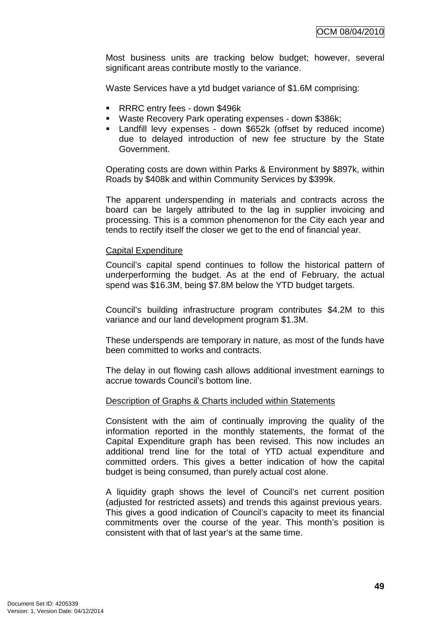Most business units are tracking below budget; however, several significant areas contribute mostly to the variance.

Waste Services have a ytd budget variance of \$1.6M comprising:

- **RRRC entry fees down \$496k**
- Waste Recovery Park operating expenses down \$386k;
- Landfill levy expenses down \$652k (offset by reduced income) due to delayed introduction of new fee structure by the State Government.

Operating costs are down within Parks & Environment by \$897k, within Roads by \$408k and within Community Services by \$399k.

The apparent underspending in materials and contracts across the board can be largely attributed to the lag in supplier invoicing and processing. This is a common phenomenon for the City each year and tends to rectify itself the closer we get to the end of financial year.

#### Capital Expenditure

Council's capital spend continues to follow the historical pattern of underperforming the budget. As at the end of February, the actual spend was \$16.3M, being \$7.8M below the YTD budget targets.

Council's building infrastructure program contributes \$4.2M to this variance and our land development program \$1.3M.

These underspends are temporary in nature, as most of the funds have been committed to works and contracts.

The delay in out flowing cash allows additional investment earnings to accrue towards Council's bottom line.

#### Description of Graphs & Charts included within Statements

Consistent with the aim of continually improving the quality of the information reported in the monthly statements, the format of the Capital Expenditure graph has been revised. This now includes an additional trend line for the total of YTD actual expenditure and committed orders. This gives a better indication of how the capital budget is being consumed, than purely actual cost alone.

A liquidity graph shows the level of Council's net current position (adjusted for restricted assets) and trends this against previous years. This gives a good indication of Council's capacity to meet its financial commitments over the course of the year. This month's position is consistent with that of last year's at the same time.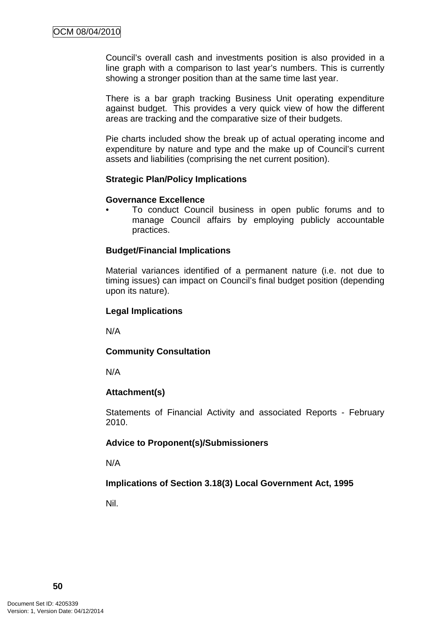Council's overall cash and investments position is also provided in a line graph with a comparison to last year's numbers. This is currently showing a stronger position than at the same time last year.

There is a bar graph tracking Business Unit operating expenditure against budget. This provides a very quick view of how the different areas are tracking and the comparative size of their budgets.

Pie charts included show the break up of actual operating income and expenditure by nature and type and the make up of Council's current assets and liabilities (comprising the net current position).

#### **Strategic Plan/Policy Implications**

#### **Governance Excellence**

• To conduct Council business in open public forums and to manage Council affairs by employing publicly accountable practices.

### **Budget/Financial Implications**

Material variances identified of a permanent nature (i.e. not due to timing issues) can impact on Council's final budget position (depending upon its nature).

#### **Legal Implications**

N/A

### **Community Consultation**

N/A

### **Attachment(s)**

Statements of Financial Activity and associated Reports - February 2010.

### **Advice to Proponent(s)/Submissioners**

N/A

### **Implications of Section 3.18(3) Local Government Act, 1995**

Nil.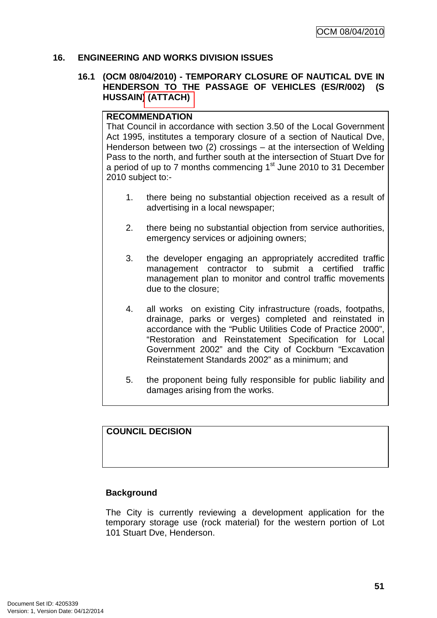### **16. ENGINEERING AND WORKS DIVISION ISSUES**

#### **16.1 (OCM 08/04/2010) - TEMPORARY CLOSURE OF NAUTICAL DVE IN HENDERSON TO THE PASSAGE OF VEHICLES (ES/R/002) (S HUSSAIN) (ATTACH)**

#### **RECOMMENDATION**

That Council in accordance with section 3.50 of the Local Government Act 1995, institutes a temporary closure of a section of Nautical Dve, Henderson between two (2) crossings – at the intersection of Welding Pass to the north, and further south at the intersection of Stuart Dve for a period of up to  $7$  months commencing  $1<sup>st</sup>$  June 2010 to 31 December 2010 subject to:-

- 1. there being no substantial objection received as a result of advertising in a local newspaper;
- 2. there being no substantial objection from service authorities, emergency services or adjoining owners;
- 3. the developer engaging an appropriately accredited traffic management contractor to submit a certified traffic management plan to monitor and control traffic movements due to the closure;
- 4. all works on existing City infrastructure (roads, footpaths, drainage, parks or verges) completed and reinstated in accordance with the "Public Utilities Code of Practice 2000", "Restoration and Reinstatement Specification for Local Government 2002" and the City of Cockburn "Excavation Reinstatement Standards 2002" as a minimum; and
- 5. the proponent being fully responsible for public liability and damages arising from the works.

# **COUNCIL DECISION**

### **Background**

The City is currently reviewing a development application for the temporary storage use (rock material) for the western portion of Lot 101 Stuart Dve, Henderson.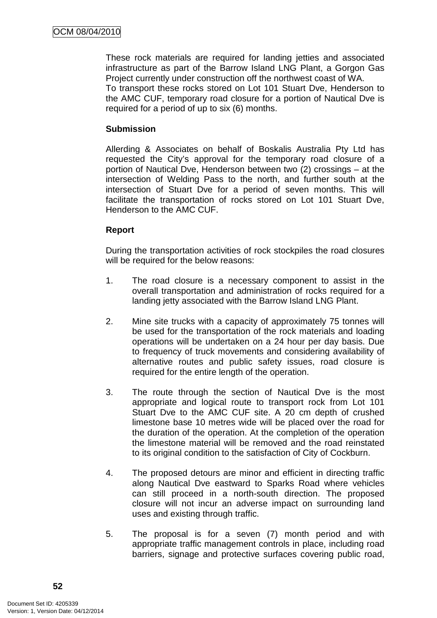These rock materials are required for landing jetties and associated infrastructure as part of the Barrow Island LNG Plant, a Gorgon Gas Project currently under construction off the northwest coast of WA.

To transport these rocks stored on Lot 101 Stuart Dve, Henderson to the AMC CUF, temporary road closure for a portion of Nautical Dve is required for a period of up to six (6) months.

### **Submission**

Allerding & Associates on behalf of Boskalis Australia Pty Ltd has requested the City's approval for the temporary road closure of a portion of Nautical Dve, Henderson between two (2) crossings – at the intersection of Welding Pass to the north, and further south at the intersection of Stuart Dve for a period of seven months. This will facilitate the transportation of rocks stored on Lot 101 Stuart Dve, Henderson to the AMC CUF.

# **Report**

During the transportation activities of rock stockpiles the road closures will be required for the below reasons:

- 1. The road closure is a necessary component to assist in the overall transportation and administration of rocks required for a landing jetty associated with the Barrow Island LNG Plant.
- 2. Mine site trucks with a capacity of approximately 75 tonnes will be used for the transportation of the rock materials and loading operations will be undertaken on a 24 hour per day basis. Due to frequency of truck movements and considering availability of alternative routes and public safety issues, road closure is required for the entire length of the operation.
- 3. The route through the section of Nautical Dve is the most appropriate and logical route to transport rock from Lot 101 Stuart Dve to the AMC CUF site. A 20 cm depth of crushed limestone base 10 metres wide will be placed over the road for the duration of the operation. At the completion of the operation the limestone material will be removed and the road reinstated to its original condition to the satisfaction of City of Cockburn.
- 4. The proposed detours are minor and efficient in directing traffic along Nautical Dve eastward to Sparks Road where vehicles can still proceed in a north-south direction. The proposed closure will not incur an adverse impact on surrounding land uses and existing through traffic.
- 5. The proposal is for a seven (7) month period and with appropriate traffic management controls in place, including road barriers, signage and protective surfaces covering public road,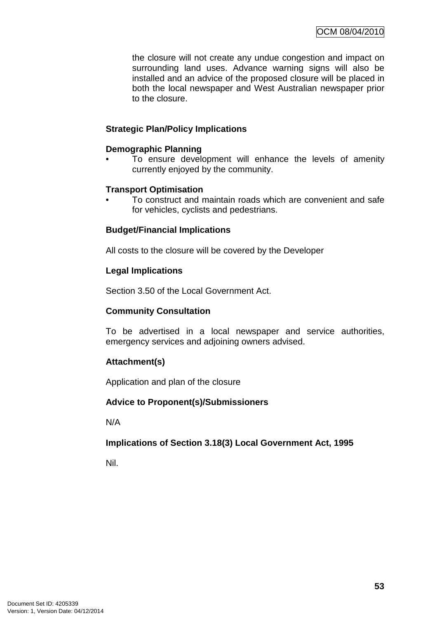the closure will not create any undue congestion and impact on surrounding land uses. Advance warning signs will also be installed and an advice of the proposed closure will be placed in both the local newspaper and West Australian newspaper prior to the closure.

## **Strategic Plan/Policy Implications**

### **Demographic Planning**

To ensure development will enhance the levels of amenity currently enjoyed by the community.

## **Transport Optimisation**

• To construct and maintain roads which are convenient and safe for vehicles, cyclists and pedestrians.

## **Budget/Financial Implications**

All costs to the closure will be covered by the Developer

## **Legal Implications**

Section 3.50 of the Local Government Act.

### **Community Consultation**

To be advertised in a local newspaper and service authorities, emergency services and adjoining owners advised.

# **Attachment(s)**

Application and plan of the closure

### **Advice to Proponent(s)/Submissioners**

N/A

### **Implications of Section 3.18(3) Local Government Act, 1995**

Nil.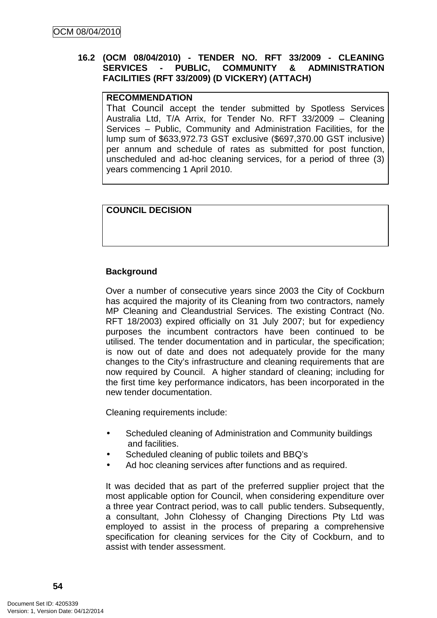## **16.2 (OCM 08/04/2010) - TENDER NO. RFT 33/2009 - CLEANING SERVICES - PUBLIC, COMMUNITY & ADMINISTRATION FACILITIES (RFT 33/2009) (D VICKERY) (ATTACH)**

### **RECOMMENDATION**

That Council accept the tender submitted by Spotless Services Australia Ltd, T/A Arrix, for Tender No. RFT 33/2009 – Cleaning Services – Public, Community and Administration Facilities, for the lump sum of \$633,972.73 GST exclusive (\$697,370.00 GST inclusive) per annum and schedule of rates as submitted for post function, unscheduled and ad-hoc cleaning services, for a period of three (3) years commencing 1 April 2010.

### **COUNCIL DECISION**

### **Background**

Over a number of consecutive years since 2003 the City of Cockburn has acquired the majority of its Cleaning from two contractors, namely MP Cleaning and Cleandustrial Services. The existing Contract (No. RFT 18/2003) expired officially on 31 July 2007; but for expediency purposes the incumbent contractors have been continued to be utilised. The tender documentation and in particular, the specification; is now out of date and does not adequately provide for the many changes to the City's infrastructure and cleaning requirements that are now required by Council. A higher standard of cleaning; including for the first time key performance indicators, has been incorporated in the new tender documentation.

Cleaning requirements include:

- Scheduled cleaning of Administration and Community buildings and facilities.
- Scheduled cleaning of public toilets and BBQ's
- Ad hoc cleaning services after functions and as required.

It was decided that as part of the preferred supplier project that the most applicable option for Council, when considering expenditure over a three year Contract period, was to call public tenders. Subsequently, a consultant, John Clohessy of Changing Directions Pty Ltd was employed to assist in the process of preparing a comprehensive specification for cleaning services for the City of Cockburn, and to assist with tender assessment.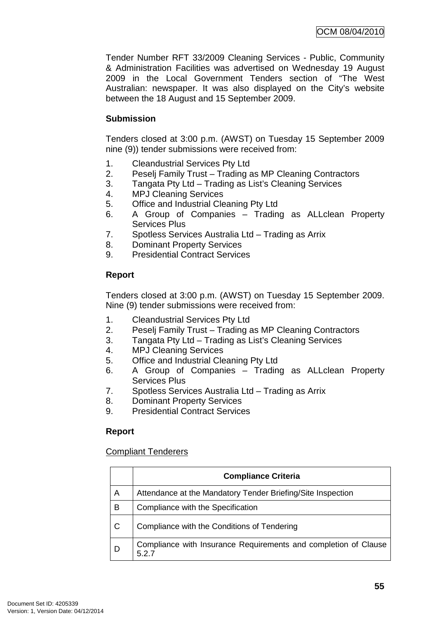Tender Number RFT 33/2009 Cleaning Services - Public, Community & Administration Facilities was advertised on Wednesday 19 August 2009 in the Local Government Tenders section of "The West Australian: newspaper. It was also displayed on the City's website between the 18 August and 15 September 2009.

## **Submission**

Tenders closed at 3:00 p.m. (AWST) on Tuesday 15 September 2009 nine (9)) tender submissions were received from:

- 1. Cleandustrial Services Pty Ltd
- 2. Peselj Family Trust Trading as MP Cleaning Contractors
- 3. Tangata Pty Ltd Trading as List's Cleaning Services
- 4. MPJ Cleaning Services
- 5. Office and Industrial Cleaning Pty Ltd
- 6. A Group of Companies Trading as ALLclean Property Services Plus
- 7. Spotless Services Australia Ltd Trading as Arrix
- 8. Dominant Property Services
- 9. Presidential Contract Services

# **Report**

Tenders closed at 3:00 p.m. (AWST) on Tuesday 15 September 2009. Nine (9) tender submissions were received from:

- 1. Cleandustrial Services Pty Ltd
- 2. Peselj Family Trust Trading as MP Cleaning Contractors
- 3. Tangata Pty Ltd Trading as List's Cleaning Services
- 4. MPJ Cleaning Services
- 5. Office and Industrial Cleaning Pty Ltd
- 6. A Group of Companies Trading as ALLclean Property Services Plus
- 7. Spotless Services Australia Ltd Trading as Arrix
- 8. Dominant Property Services
- 9. Presidential Contract Services

# **Report**

### Compliant Tenderers

|   | <b>Compliance Criteria</b>                                             |
|---|------------------------------------------------------------------------|
| A | Attendance at the Mandatory Tender Briefing/Site Inspection            |
| в | Compliance with the Specification                                      |
| C | Compliance with the Conditions of Tendering                            |
| D | Compliance with Insurance Requirements and completion of Clause<br>527 |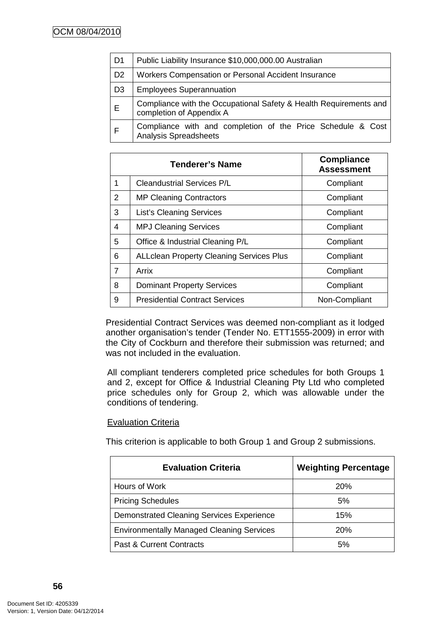| D <sub>1</sub> | Public Liability Insurance \$10,000,000.00 Australian                                         |  |  |
|----------------|-----------------------------------------------------------------------------------------------|--|--|
| D <sub>2</sub> | Workers Compensation or Personal Accident Insurance                                           |  |  |
| D <sub>3</sub> | <b>Employees Superannuation</b>                                                               |  |  |
| E              | Compliance with the Occupational Safety & Health Requirements and<br>completion of Appendix A |  |  |
|                | Compliance with and completion of the Price Schedule & Cost<br><b>Analysis Spreadsheets</b>   |  |  |

|                | <b>Tenderer's Name</b>                           | <b>Compliance</b><br><b>Assessment</b> |
|----------------|--------------------------------------------------|----------------------------------------|
| 1              | <b>Cleandustrial Services P/L</b>                | Compliant                              |
| 2              | <b>MP Cleaning Contractors</b>                   | Compliant                              |
| 3              | <b>List's Cleaning Services</b>                  | Compliant                              |
| 4              | <b>MPJ Cleaning Services</b>                     | Compliant                              |
| 5              | Office & Industrial Cleaning P/L                 | Compliant                              |
| 6              | <b>ALL clean Property Cleaning Services Plus</b> | Compliant                              |
| $\overline{7}$ | Arrix                                            | Compliant                              |
| 8              | <b>Dominant Property Services</b>                | Compliant                              |
| 9              | <b>Presidential Contract Services</b>            | Non-Compliant                          |

Presidential Contract Services was deemed non-compliant as it lodged another organisation's tender (Tender No. ETT1555-2009) in error with the City of Cockburn and therefore their submission was returned; and was not included in the evaluation.

All compliant tenderers completed price schedules for both Groups 1 and 2, except for Office & Industrial Cleaning Pty Ltd who completed price schedules only for Group 2, which was allowable under the conditions of tendering.

# Evaluation Criteria

This criterion is applicable to both Group 1 and Group 2 submissions.

| <b>Evaluation Criteria</b>                       | <b>Weighting Percentage</b> |
|--------------------------------------------------|-----------------------------|
| Hours of Work                                    | <b>20%</b>                  |
| <b>Pricing Schedules</b>                         | 5%                          |
| <b>Demonstrated Cleaning Services Experience</b> | 15%                         |
| <b>Environmentally Managed Cleaning Services</b> | <b>20%</b>                  |
| <b>Past &amp; Current Contracts</b>              | 5%                          |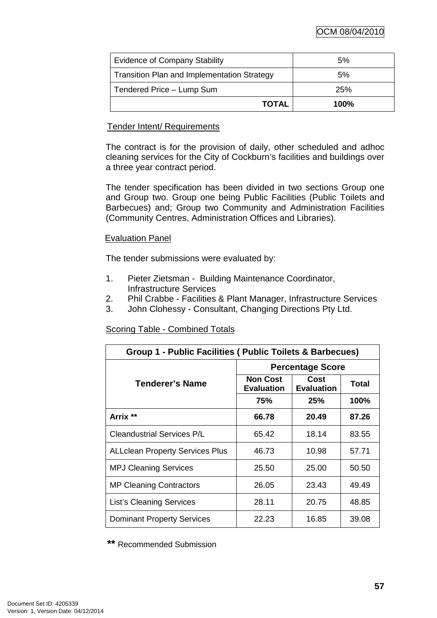OCM 08/04/2010

| <b>Evidence of Company Stability</b>               | 5%      |
|----------------------------------------------------|---------|
| <b>Transition Plan and Implementation Strategy</b> | 5%      |
| Tendered Price - Lump Sum                          | 25%     |
| <b>TOTAL</b>                                       | $100\%$ |

### Tender Intent/ Requirements

The contract is for the provision of daily, other scheduled and adhoc cleaning services for the City of Cockburn's facilities and buildings over a three year contract period.

The tender specification has been divided in two sections Group one and Group two. Group one being Public Facilities (Public Toilets and Barbecues) and; Group two Community and Administration Facilities (Community Centres, Administration Offices and Libraries).

## Evaluation Panel

The tender submissions were evaluated by:

- 1. Pieter Zietsman Building Maintenance Coordinator, Infrastructure Services
- 2. Phil Crabbe Facilities & Plant Manager, Infrastructure Services
- 3. John Clohessy Consultant, Changing Directions Pty Ltd.

# Scoring Table - Combined Totals

| Group 1 - Public Facilities ( Public Toilets & Barbecues) |                                      |                           |       |  |
|-----------------------------------------------------------|--------------------------------------|---------------------------|-------|--|
|                                                           | <b>Percentage Score</b>              |                           |       |  |
| Tenderer's Name                                           | <b>Non Cost</b><br><b>Evaluation</b> | Cost<br><b>Evaluation</b> | Total |  |
|                                                           | 75%                                  | 25%                       | 100%  |  |
| Arrix **                                                  | 66.78                                | 20.49                     | 87.26 |  |
| <b>Cleandustrial Services P/L</b>                         | 65.42                                | 18.14                     | 83.55 |  |
| <b>ALLclean Property Services Plus</b>                    | 46.73                                | 10.98                     | 57.71 |  |
| <b>MPJ Cleaning Services</b>                              | 25.50                                | 25.00                     | 50.50 |  |
| <b>MP Cleaning Contractors</b>                            | 26.05                                | 23.43                     | 49.49 |  |
| <b>List's Cleaning Services</b>                           | 28.11                                | 20.75                     | 48.85 |  |
| <b>Dominant Property Services</b>                         | 22.23                                | 16.85                     | 39.08 |  |

**\*\*** Recommended Submission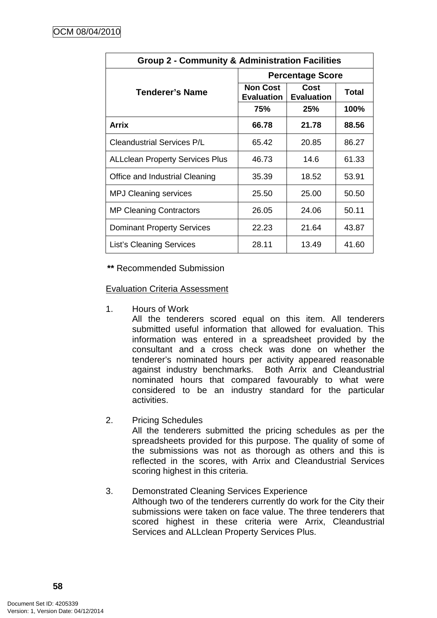| <b>Group 2 - Community &amp; Administration Facilities</b> |                                      |                           |       |  |
|------------------------------------------------------------|--------------------------------------|---------------------------|-------|--|
|                                                            | <b>Percentage Score</b>              |                           |       |  |
| Tenderer's Name                                            | <b>Non Cost</b><br><b>Evaluation</b> | Cost<br><b>Evaluation</b> | Total |  |
|                                                            | 75%                                  | 25%                       | 100%  |  |
| <b>Arrix</b>                                               | 66.78                                | 21.78                     | 88.56 |  |
| <b>Cleandustrial Services P/L</b>                          | 65.42                                | 20.85                     | 86.27 |  |
| <b>ALLclean Property Services Plus</b>                     | 46.73                                | 14.6                      | 61.33 |  |
| Office and Industrial Cleaning                             | 35.39                                | 18.52                     | 53.91 |  |
| <b>MPJ Cleaning services</b>                               | 25.50                                | 25.00                     | 50.50 |  |
| <b>MP Cleaning Contractors</b>                             | 26.05                                | 24.06                     | 50.11 |  |
| <b>Dominant Property Services</b>                          | 22.23                                | 21.64                     | 43.87 |  |
| <b>List's Cleaning Services</b>                            | 28.11                                | 13.49                     | 41.60 |  |

**\*\*** Recommended Submission

Evaluation Criteria Assessment

1. Hours of Work

All the tenderers scored equal on this item. All tenderers submitted useful information that allowed for evaluation. This information was entered in a spreadsheet provided by the consultant and a cross check was done on whether the tenderer's nominated hours per activity appeared reasonable against industry benchmarks. Both Arrix and Cleandustrial nominated hours that compared favourably to what were considered to be an industry standard for the particular activities.

2. Pricing Schedules

All the tenderers submitted the pricing schedules as per the spreadsheets provided for this purpose. The quality of some of the submissions was not as thorough as others and this is reflected in the scores, with Arrix and Cleandustrial Services scoring highest in this criteria.

### 3. Demonstrated Cleaning Services Experience Although two of the tenderers currently do work for the City their submissions were taken on face value. The three tenderers that scored highest in these criteria were Arrix, Cleandustrial Services and ALLclean Property Services Plus.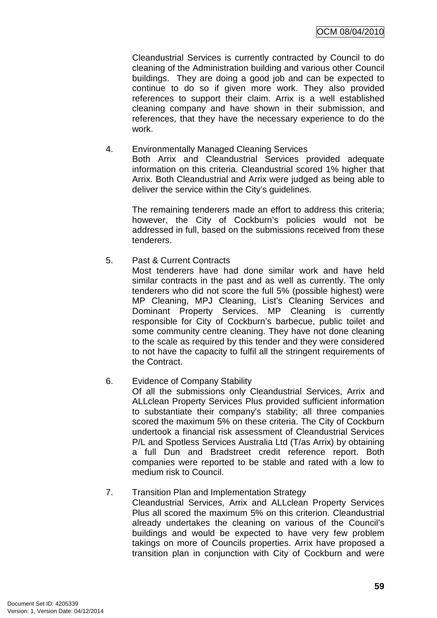Cleandustrial Services is currently contracted by Council to do cleaning of the Administration building and various other Council buildings. They are doing a good job and can be expected to continue to do so if given more work. They also provided references to support their claim. Arrix is a well established cleaning company and have shown in their submission, and references, that they have the necessary experience to do the work.

#### 4. Environmentally Managed Cleaning Services Both Arrix and Cleandustrial Services provided adequate information on this criteria. Cleandustrial scored 1% higher that Arrix. Both Cleandustrial and Arrix were judged as being able to deliver the service within the City's guidelines.

The remaining tenderers made an effort to address this criteria; however, the City of Cockburn's policies would not be addressed in full, based on the submissions received from these tenderers.

# 5. Past & Current Contracts

Most tenderers have had done similar work and have held similar contracts in the past and as well as currently. The only tenderers who did not score the full 5% (possible highest) were MP Cleaning, MPJ Cleaning, List's Cleaning Services and Dominant Property Services. MP Cleaning is currently responsible for City of Cockburn's barbecue, public toilet and some community centre cleaning. They have not done cleaning to the scale as required by this tender and they were considered to not have the capacity to fulfil all the stringent requirements of the Contract.

# 6. Evidence of Company Stability

Of all the submissions only Cleandustrial Services, Arrix and ALLclean Property Services Plus provided sufficient information to substantiate their company's stability; all three companies scored the maximum 5% on these criteria. The City of Cockburn undertook a financial risk assessment of Cleandustrial Services P/L and Spotless Services Australia Ltd (T/as Arrix) by obtaining a full Dun and Bradstreet credit reference report. Both companies were reported to be stable and rated with a low to medium risk to Council.

### 7. Transition Plan and Implementation Strategy

Cleandustrial Services, Arrix and ALLclean Property Services Plus all scored the maximum 5% on this criterion. Cleandustrial already undertakes the cleaning on various of the Council's buildings and would be expected to have very few problem takings on more of Councils properties. Arrix have proposed a transition plan in conjunction with City of Cockburn and were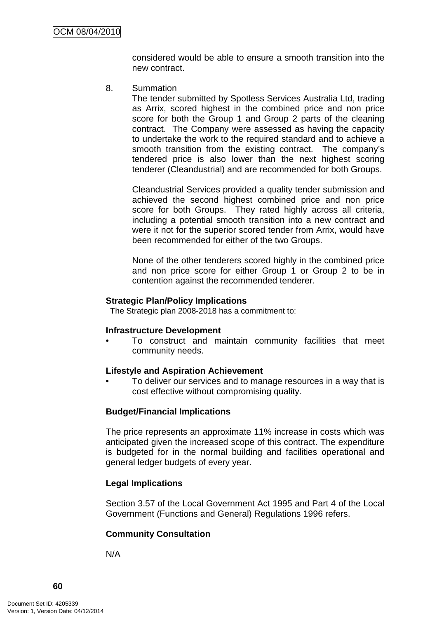considered would be able to ensure a smooth transition into the new contract.

8. Summation

The tender submitted by Spotless Services Australia Ltd, trading as Arrix, scored highest in the combined price and non price score for both the Group 1 and Group 2 parts of the cleaning contract. The Company were assessed as having the capacity to undertake the work to the required standard and to achieve a smooth transition from the existing contract. The company's tendered price is also lower than the next highest scoring tenderer (Cleandustrial) and are recommended for both Groups.

Cleandustrial Services provided a quality tender submission and achieved the second highest combined price and non price score for both Groups. They rated highly across all criteria, including a potential smooth transition into a new contract and were it not for the superior scored tender from Arrix, would have been recommended for either of the two Groups.

None of the other tenderers scored highly in the combined price and non price score for either Group 1 or Group 2 to be in contention against the recommended tenderer.

#### **Strategic Plan/Policy Implications**

The Strategic plan 2008-2018 has a commitment to:

#### **Infrastructure Development**

• To construct and maintain community facilities that meet community needs.

#### **Lifestyle and Aspiration Achievement**

• To deliver our services and to manage resources in a way that is cost effective without compromising quality.

### **Budget/Financial Implications**

The price represents an approximate 11% increase in costs which was anticipated given the increased scope of this contract. The expenditure is budgeted for in the normal building and facilities operational and general ledger budgets of every year.

### **Legal Implications**

Section 3.57 of the Local Government Act 1995 and Part 4 of the Local Government (Functions and General) Regulations 1996 refers.

### **Community Consultation**

N/A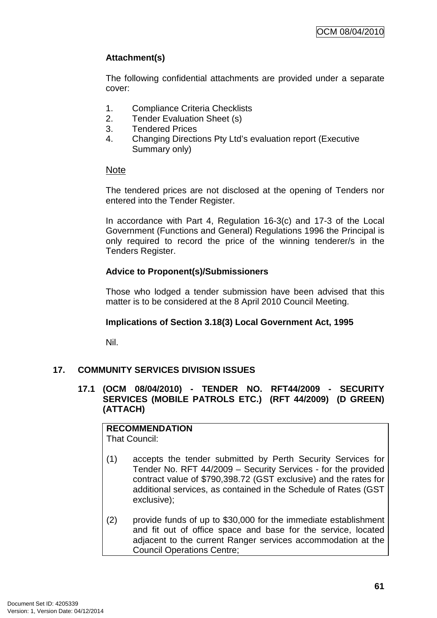# **Attachment(s)**

The following confidential attachments are provided under a separate cover:

- 1. Compliance Criteria Checklists
- 2. Tender Evaluation Sheet (s)
- 3. Tendered Prices
- 4. Changing Directions Pty Ltd's evaluation report (Executive Summary only)

## Note

The tendered prices are not disclosed at the opening of Tenders nor entered into the Tender Register.

In accordance with Part 4, Regulation 16-3(c) and 17-3 of the Local Government (Functions and General) Regulations 1996 the Principal is only required to record the price of the winning tenderer/s in the Tenders Register.

# **Advice to Proponent(s)/Submissioners**

Those who lodged a tender submission have been advised that this matter is to be considered at the 8 April 2010 Council Meeting.

### **Implications of Section 3.18(3) Local Government Act, 1995**

Nil.

# **17. COMMUNITY SERVICES DIVISION ISSUES**

**17.1 (OCM 08/04/2010) - TENDER NO. RFT44/2009 - SECURITY SERVICES (MOBILE PATROLS ETC.) (RFT 44/2009) (D GREEN) (ATTACH)** 

**RECOMMENDATION** That Council:

- (1) accepts the tender submitted by Perth Security Services for Tender No. RFT 44/2009 – Security Services - for the provided contract value of \$790,398.72 (GST exclusive) and the rates for additional services, as contained in the Schedule of Rates (GST exclusive);
- (2) provide funds of up to \$30,000 for the immediate establishment and fit out of office space and base for the service, located adjacent to the current Ranger services accommodation at the Council Operations Centre;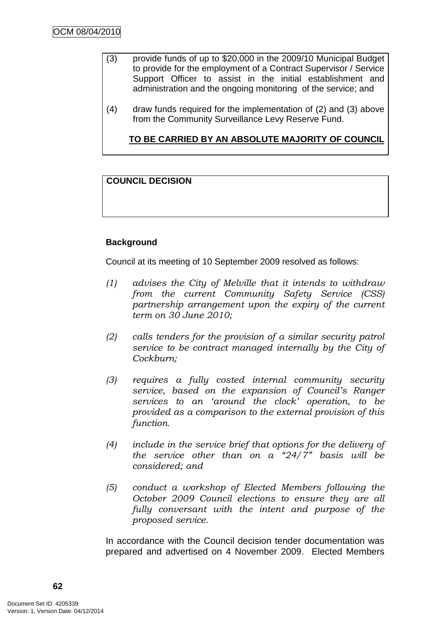- (3) provide funds of up to \$20,000 in the 2009/10 Municipal Budget to provide for the employment of a Contract Supervisor / Service Support Officer to assist in the initial establishment and administration and the ongoing monitoring of the service; and
- (4) draw funds required for the implementation of (2) and (3) above from the Community Surveillance Levy Reserve Fund.

**TO BE CARRIED BY AN ABSOLUTE MAJORITY OF COUNCIL**

# **COUNCIL DECISION**

# **Background**

Council at its meeting of 10 September 2009 resolved as follows:

- (1) advises the City of Melville that it intends to withdraw from the current Community Safety Service (CSS) partnership arrangement upon the expiry of the current term on 30 June 2010;
- (2) calls tenders for the provision of a similar security patrol service to be contract managed internally by the City of Cockburn;
- (3) requires a fully costed internal community security service, based on the expansion of Council's Ranger services to an 'around the clock' operation, to be provided as a comparison to the external provision of this function.
- (4) include in the service brief that options for the delivery of the service other than on a  $24/7$ " basis will be considered; and
- (5) conduct a workshop of Elected Members following the October 2009 Council elections to ensure they are all fully conversant with the intent and purpose of the proposed service.

In accordance with the Council decision tender documentation was prepared and advertised on 4 November 2009. Elected Members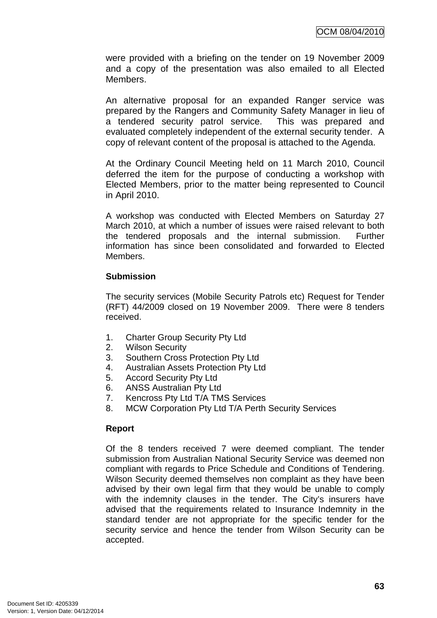were provided with a briefing on the tender on 19 November 2009 and a copy of the presentation was also emailed to all Elected Members.

An alternative proposal for an expanded Ranger service was prepared by the Rangers and Community Safety Manager in lieu of a tendered security patrol service. This was prepared and evaluated completely independent of the external security tender. A copy of relevant content of the proposal is attached to the Agenda.

At the Ordinary Council Meeting held on 11 March 2010, Council deferred the item for the purpose of conducting a workshop with Elected Members, prior to the matter being represented to Council in April 2010.

A workshop was conducted with Elected Members on Saturday 27 March 2010, at which a number of issues were raised relevant to both the tendered proposals and the internal submission. Further information has since been consolidated and forwarded to Elected Members.

## **Submission**

The security services (Mobile Security Patrols etc) Request for Tender (RFT) 44/2009 closed on 19 November 2009. There were 8 tenders received.

- 1. Charter Group Security Pty Ltd
- 2. Wilson Security
- 3. Southern Cross Protection Pty Ltd
- 4. Australian Assets Protection Pty Ltd
- 5. Accord Security Pty Ltd
- 6. ANSS Australian Pty Ltd
- 7. Kencross Pty Ltd T/A TMS Services
- 8. MCW Corporation Pty Ltd T/A Perth Security Services

# **Report**

Of the 8 tenders received 7 were deemed compliant. The tender submission from Australian National Security Service was deemed non compliant with regards to Price Schedule and Conditions of Tendering. Wilson Security deemed themselves non complaint as they have been advised by their own legal firm that they would be unable to comply with the indemnity clauses in the tender. The City's insurers have advised that the requirements related to Insurance Indemnity in the standard tender are not appropriate for the specific tender for the security service and hence the tender from Wilson Security can be accepted.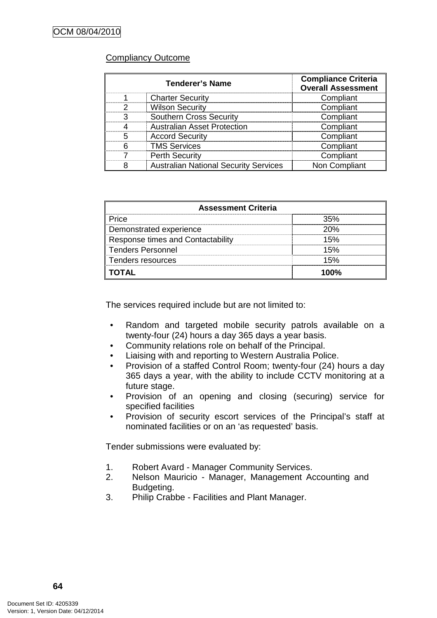## Compliancy Outcome

| <b>Tenderer's Name</b> |                                              | <b>Compliance Criteria</b><br><b>Overall Assessment</b> |
|------------------------|----------------------------------------------|---------------------------------------------------------|
|                        | <b>Charter Security</b>                      | Compliant                                               |
| ?                      | <b>Wilson Security</b>                       | Compliant                                               |
|                        | <b>Southern Cross Security</b>               | Compliant                                               |
|                        | <b>Australian Asset Protection</b>           | Compliant                                               |
| 5                      | <b>Accord Security</b>                       | Compliant                                               |
|                        | <b>TMS Services</b>                          | Compliant                                               |
|                        | <b>Perth Security</b>                        | Compliant                                               |
|                        | <b>Australian National Security Services</b> | Non Compliant                                           |

| <b>Assessment Criteria</b>        |     |  |  |
|-----------------------------------|-----|--|--|
| Price                             |     |  |  |
| Demonstrated experience           | 20% |  |  |
| Response times and Contactability | 50  |  |  |
| <b>Tenders Personnel</b>          | 15% |  |  |
| Tenders resources                 | 15% |  |  |
| IAT(                              |     |  |  |

The services required include but are not limited to:

- Random and targeted mobile security patrols available on a twenty-four (24) hours a day 365 days a year basis.
- Community relations role on behalf of the Principal.
- Liaising with and reporting to Western Australia Police.
- Provision of a staffed Control Room; twenty-four (24) hours a day 365 days a year, with the ability to include CCTV monitoring at a future stage.
- Provision of an opening and closing (securing) service for specified facilities
- Provision of security escort services of the Principal's staff at nominated facilities or on an 'as requested' basis.

Tender submissions were evaluated by:

- 1. Robert Avard Manager Community Services.
- 2. Nelson Mauricio Manager, Management Accounting and Budgeting.
- 3. Philip Crabbe Facilities and Plant Manager.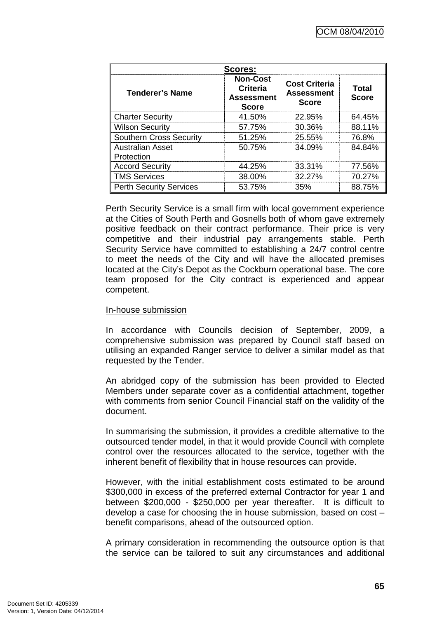| Scores:                               |                                                                         |                                                           |                       |  |  |
|---------------------------------------|-------------------------------------------------------------------------|-----------------------------------------------------------|-----------------------|--|--|
| <b>Tenderer's Name</b>                | <b>Non-Cost</b><br><b>Criteria</b><br><b>Assessment</b><br><b>Score</b> | <b>Cost Criteria</b><br><b>Assessment</b><br><b>Score</b> | Total<br><b>Score</b> |  |  |
| <b>Charter Security</b>               | 41.50%                                                                  | 22.95%                                                    | 64.45%                |  |  |
| <b>Wilson Security</b>                | 57.75%                                                                  | 30.36%                                                    | 88.11%                |  |  |
| <b>Southern Cross Security</b>        | $51.25\%$                                                               | 25.55%                                                    | 76.8%                 |  |  |
| <b>Australian Asset</b><br>Protection | 50.75%                                                                  | 34.09%                                                    | 84.84%                |  |  |
| <b>Accord Security</b>                | 44.25%                                                                  | 33.31%                                                    | 77.56%                |  |  |
| <b>TMS Services</b>                   | 38.00%                                                                  | 32.27%                                                    | 70.27%                |  |  |
| <b>Perth Security Services</b>        | 53.75%                                                                  | 35%                                                       | 88.75%                |  |  |

Perth Security Service is a small firm with local government experience at the Cities of South Perth and Gosnells both of whom gave extremely positive feedback on their contract performance. Their price is very competitive and their industrial pay arrangements stable. Perth Security Service have committed to establishing a 24/7 control centre to meet the needs of the City and will have the allocated premises located at the City's Depot as the Cockburn operational base. The core team proposed for the City contract is experienced and appear competent.

#### In-house submission

In accordance with Councils decision of September, 2009, a comprehensive submission was prepared by Council staff based on utilising an expanded Ranger service to deliver a similar model as that requested by the Tender.

An abridged copy of the submission has been provided to Elected Members under separate cover as a confidential attachment, together with comments from senior Council Financial staff on the validity of the document.

In summarising the submission, it provides a credible alternative to the outsourced tender model, in that it would provide Council with complete control over the resources allocated to the service, together with the inherent benefit of flexibility that in house resources can provide.

However, with the initial establishment costs estimated to be around \$300,000 in excess of the preferred external Contractor for year 1 and between \$200,000 - \$250,000 per year thereafter. It is difficult to develop a case for choosing the in house submission, based on cost – benefit comparisons, ahead of the outsourced option.

A primary consideration in recommending the outsource option is that the service can be tailored to suit any circumstances and additional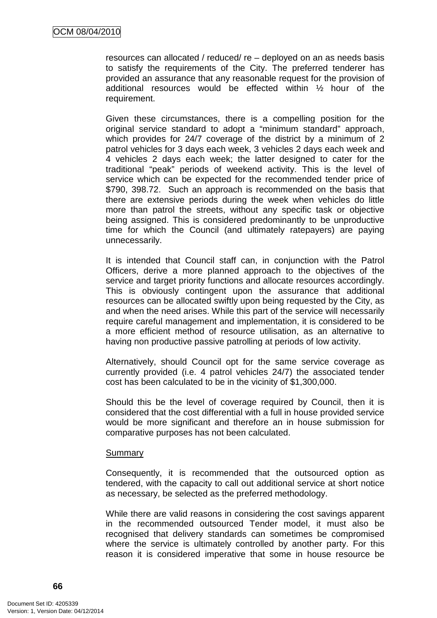resources can allocated / reduced/ re – deployed on an as needs basis to satisfy the requirements of the City. The preferred tenderer has provided an assurance that any reasonable request for the provision of additional resources would be effected within ½ hour of the requirement.

Given these circumstances, there is a compelling position for the original service standard to adopt a "minimum standard" approach, which provides for 24/7 coverage of the district by a minimum of 2 patrol vehicles for 3 days each week, 3 vehicles 2 days each week and 4 vehicles 2 days each week; the latter designed to cater for the traditional "peak" periods of weekend activity. This is the level of service which can be expected for the recommended tender price of \$790, 398.72. Such an approach is recommended on the basis that there are extensive periods during the week when vehicles do little more than patrol the streets, without any specific task or objective being assigned. This is considered predominantly to be unproductive time for which the Council (and ultimately ratepayers) are paying unnecessarily.

It is intended that Council staff can, in conjunction with the Patrol Officers, derive a more planned approach to the objectives of the service and target priority functions and allocate resources accordingly. This is obviously contingent upon the assurance that additional resources can be allocated swiftly upon being requested by the City, as and when the need arises. While this part of the service will necessarily require careful management and implementation, it is considered to be a more efficient method of resource utilisation, as an alternative to having non productive passive patrolling at periods of low activity.

Alternatively, should Council opt for the same service coverage as currently provided (i.e. 4 patrol vehicles 24/7) the associated tender cost has been calculated to be in the vicinity of \$1,300,000.

Should this be the level of coverage required by Council, then it is considered that the cost differential with a full in house provided service would be more significant and therefore an in house submission for comparative purposes has not been calculated.

#### Summary

Consequently, it is recommended that the outsourced option as tendered, with the capacity to call out additional service at short notice as necessary, be selected as the preferred methodology.

While there are valid reasons in considering the cost savings apparent in the recommended outsourced Tender model, it must also be recognised that delivery standards can sometimes be compromised where the service is ultimately controlled by another party. For this reason it is considered imperative that some in house resource be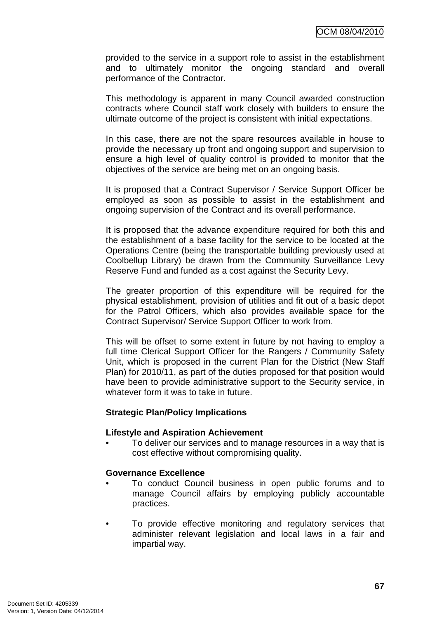provided to the service in a support role to assist in the establishment and to ultimately monitor the ongoing standard and overall performance of the Contractor.

This methodology is apparent in many Council awarded construction contracts where Council staff work closely with builders to ensure the ultimate outcome of the project is consistent with initial expectations.

In this case, there are not the spare resources available in house to provide the necessary up front and ongoing support and supervision to ensure a high level of quality control is provided to monitor that the objectives of the service are being met on an ongoing basis.

It is proposed that a Contract Supervisor / Service Support Officer be employed as soon as possible to assist in the establishment and ongoing supervision of the Contract and its overall performance.

It is proposed that the advance expenditure required for both this and the establishment of a base facility for the service to be located at the Operations Centre (being the transportable building previously used at Coolbellup Library) be drawn from the Community Surveillance Levy Reserve Fund and funded as a cost against the Security Levy.

The greater proportion of this expenditure will be required for the physical establishment, provision of utilities and fit out of a basic depot for the Patrol Officers, which also provides available space for the Contract Supervisor/ Service Support Officer to work from.

This will be offset to some extent in future by not having to employ a full time Clerical Support Officer for the Rangers / Community Safety Unit, which is proposed in the current Plan for the District (New Staff Plan) for 2010/11, as part of the duties proposed for that position would have been to provide administrative support to the Security service, in whatever form it was to take in future.

#### **Strategic Plan/Policy Implications**

#### **Lifestyle and Aspiration Achievement**

• To deliver our services and to manage resources in a way that is cost effective without compromising quality.

### **Governance Excellence**

- To conduct Council business in open public forums and to manage Council affairs by employing publicly accountable practices.
- To provide effective monitoring and regulatory services that administer relevant legislation and local laws in a fair and impartial way.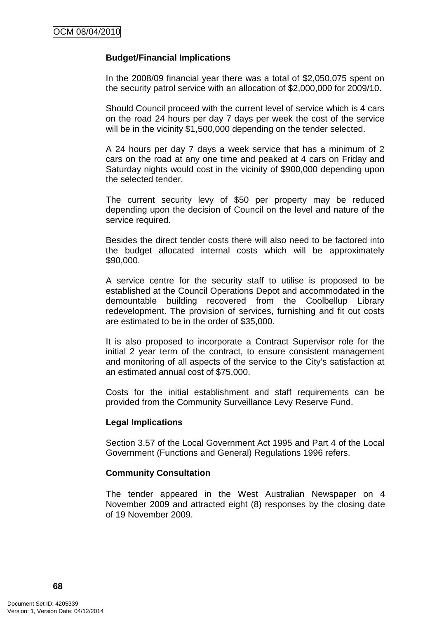### **Budget/Financial Implications**

In the 2008/09 financial year there was a total of \$2,050,075 spent on the security patrol service with an allocation of \$2,000,000 for 2009/10.

Should Council proceed with the current level of service which is 4 cars on the road 24 hours per day 7 days per week the cost of the service will be in the vicinity \$1,500,000 depending on the tender selected.

A 24 hours per day 7 days a week service that has a minimum of 2 cars on the road at any one time and peaked at 4 cars on Friday and Saturday nights would cost in the vicinity of \$900,000 depending upon the selected tender.

The current security levy of \$50 per property may be reduced depending upon the decision of Council on the level and nature of the service required.

Besides the direct tender costs there will also need to be factored into the budget allocated internal costs which will be approximately \$90,000.

A service centre for the security staff to utilise is proposed to be established at the Council Operations Depot and accommodated in the demountable building recovered from the Coolbellup Library redevelopment. The provision of services, furnishing and fit out costs are estimated to be in the order of \$35,000.

It is also proposed to incorporate a Contract Supervisor role for the initial 2 year term of the contract, to ensure consistent management and monitoring of all aspects of the service to the City's satisfaction at an estimated annual cost of \$75,000.

Costs for the initial establishment and staff requirements can be provided from the Community Surveillance Levy Reserve Fund.

#### **Legal Implications**

Section 3.57 of the Local Government Act 1995 and Part 4 of the Local Government (Functions and General) Regulations 1996 refers.

#### **Community Consultation**

The tender appeared in the West Australian Newspaper on 4 November 2009 and attracted eight (8) responses by the closing date of 19 November 2009.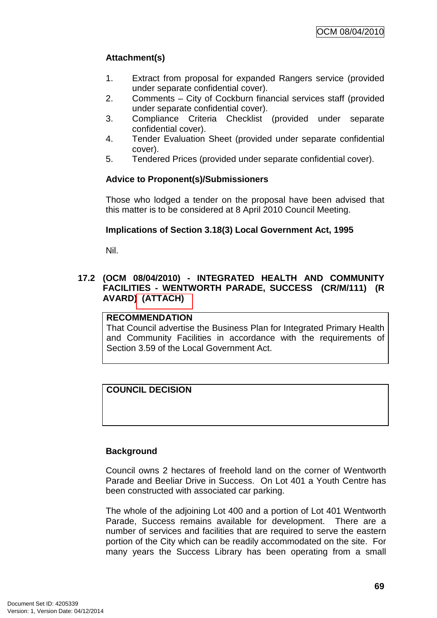# **Attachment(s)**

- 1. Extract from proposal for expanded Rangers service (provided under separate confidential cover).
- 2. Comments City of Cockburn financial services staff (provided under separate confidential cover).
- 3. Compliance Criteria Checklist (provided under separate confidential cover).
- 4. Tender Evaluation Sheet (provided under separate confidential cover).
- 5. Tendered Prices (provided under separate confidential cover).

## **Advice to Proponent(s)/Submissioners**

Those who lodged a tender on the proposal have been advised that this matter is to be considered at 8 April 2010 Council Meeting.

## **Implications of Section 3.18(3) Local Government Act, 1995**

Nil.

## **17.2 (OCM 08/04/2010) - INTEGRATED HEALTH AND COMMUNITY FACILITIES - WENTWORTH PARADE, SUCCESS (CR/M/111) (R AVARD) (ATTACH)**

#### **RECOMMENDATION**

That Council advertise the Business Plan for Integrated Primary Health and Community Facilities in accordance with the requirements of Section 3.59 of the Local Government Act.

## **COUNCIL DECISION**

#### **Background**

Council owns 2 hectares of freehold land on the corner of Wentworth Parade and Beeliar Drive in Success. On Lot 401 a Youth Centre has been constructed with associated car parking.

The whole of the adjoining Lot 400 and a portion of Lot 401 Wentworth Parade, Success remains available for development. There are a number of services and facilities that are required to serve the eastern portion of the City which can be readily accommodated on the site. For many years the Success Library has been operating from a small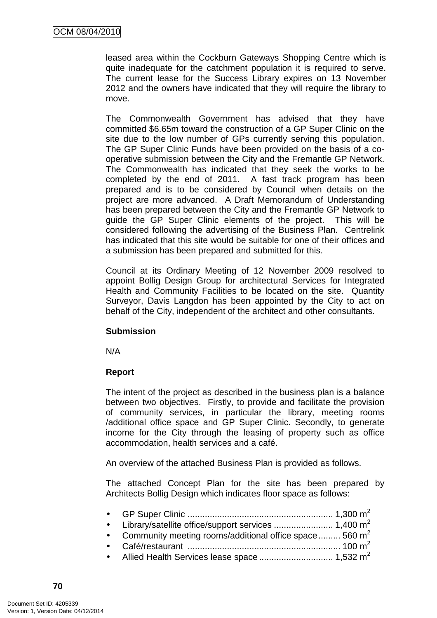leased area within the Cockburn Gateways Shopping Centre which is quite inadequate for the catchment population it is required to serve. The current lease for the Success Library expires on 13 November 2012 and the owners have indicated that they will require the library to move.

The Commonwealth Government has advised that they have committed \$6.65m toward the construction of a GP Super Clinic on the site due to the low number of GPs currently serving this population. The GP Super Clinic Funds have been provided on the basis of a cooperative submission between the City and the Fremantle GP Network. The Commonwealth has indicated that they seek the works to be completed by the end of 2011. A fast track program has been prepared and is to be considered by Council when details on the project are more advanced. A Draft Memorandum of Understanding has been prepared between the City and the Fremantle GP Network to guide the GP Super Clinic elements of the project. This will be considered following the advertising of the Business Plan. Centrelink has indicated that this site would be suitable for one of their offices and a submission has been prepared and submitted for this.

Council at its Ordinary Meeting of 12 November 2009 resolved to appoint Bollig Design Group for architectural Services for Integrated Health and Community Facilities to be located on the site. Quantity Surveyor, Davis Langdon has been appointed by the City to act on behalf of the City, independent of the architect and other consultants.

#### **Submission**

N/A

## **Report**

The intent of the project as described in the business plan is a balance between two objectives. Firstly, to provide and facilitate the provision of community services, in particular the library, meeting rooms /additional office space and GP Super Clinic. Secondly, to generate income for the City through the leasing of property such as office accommodation, health services and a café.

An overview of the attached Business Plan is provided as follows.

The attached Concept Plan for the site has been prepared by Architects Bollig Design which indicates floor space as follows:

| • Community meeting rooms/additional office space  560 $m^2$ |  |
|--------------------------------------------------------------|--|
|                                                              |  |
|                                                              |  |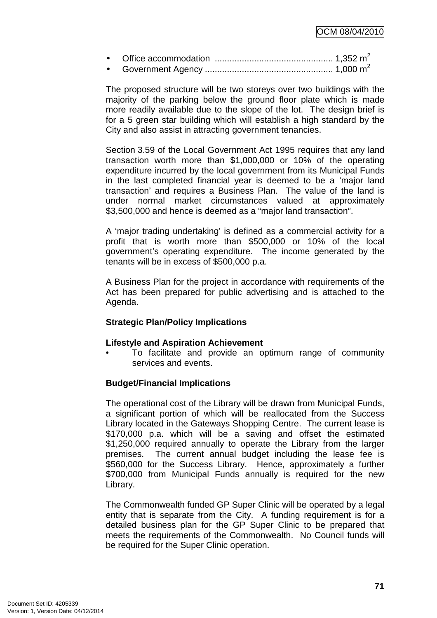• Office accommodation ................................................ 1,352 m<sup>2</sup> • Government Agency .................................................... 1,000 m<sup>2</sup>

The proposed structure will be two storeys over two buildings with the majority of the parking below the ground floor plate which is made more readily available due to the slope of the lot. The design brief is for a 5 green star building which will establish a high standard by the City and also assist in attracting government tenancies.

Section 3.59 of the Local Government Act 1995 requires that any land transaction worth more than \$1,000,000 or 10% of the operating expenditure incurred by the local government from its Municipal Funds in the last completed financial year is deemed to be a 'major land transaction' and requires a Business Plan. The value of the land is under normal market circumstances valued at approximately \$3,500,000 and hence is deemed as a "major land transaction".

A 'major trading undertaking' is defined as a commercial activity for a profit that is worth more than \$500,000 or 10% of the local government's operating expenditure. The income generated by the tenants will be in excess of \$500,000 p.a.

A Business Plan for the project in accordance with requirements of the Act has been prepared for public advertising and is attached to the Agenda.

#### **Strategic Plan/Policy Implications**

#### **Lifestyle and Aspiration Achievement**

• To facilitate and provide an optimum range of community services and events.

## **Budget/Financial Implications**

The operational cost of the Library will be drawn from Municipal Funds, a significant portion of which will be reallocated from the Success Library located in the Gateways Shopping Centre. The current lease is \$170,000 p.a. which will be a saving and offset the estimated \$1,250,000 required annually to operate the Library from the larger premises. The current annual budget including the lease fee is \$560,000 for the Success Library. Hence, approximately a further \$700,000 from Municipal Funds annually is required for the new Library.

The Commonwealth funded GP Super Clinic will be operated by a legal entity that is separate from the City. A funding requirement is for a detailed business plan for the GP Super Clinic to be prepared that meets the requirements of the Commonwealth. No Council funds will be required for the Super Clinic operation.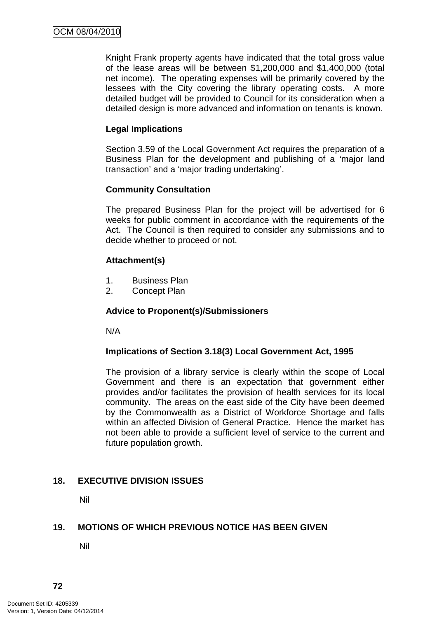Knight Frank property agents have indicated that the total gross value of the lease areas will be between \$1,200,000 and \$1,400,000 (total net income). The operating expenses will be primarily covered by the lessees with the City covering the library operating costs. A more detailed budget will be provided to Council for its consideration when a detailed design is more advanced and information on tenants is known.

### **Legal Implications**

Section 3.59 of the Local Government Act requires the preparation of a Business Plan for the development and publishing of a 'major land transaction' and a 'major trading undertaking'.

### **Community Consultation**

The prepared Business Plan for the project will be advertised for 6 weeks for public comment in accordance with the requirements of the Act. The Council is then required to consider any submissions and to decide whether to proceed or not.

### **Attachment(s)**

- 1. Business Plan
- 2. Concept Plan

#### **Advice to Proponent(s)/Submissioners**

N/A

#### **Implications of Section 3.18(3) Local Government Act, 1995**

The provision of a library service is clearly within the scope of Local Government and there is an expectation that government either provides and/or facilitates the provision of health services for its local community. The areas on the east side of the City have been deemed by the Commonwealth as a District of Workforce Shortage and falls within an affected Division of General Practice. Hence the market has not been able to provide a sufficient level of service to the current and future population growth.

## **18. EXECUTIVE DIVISION ISSUES**

Nil

#### **19. MOTIONS OF WHICH PREVIOUS NOTICE HAS BEEN GIVEN**

Nil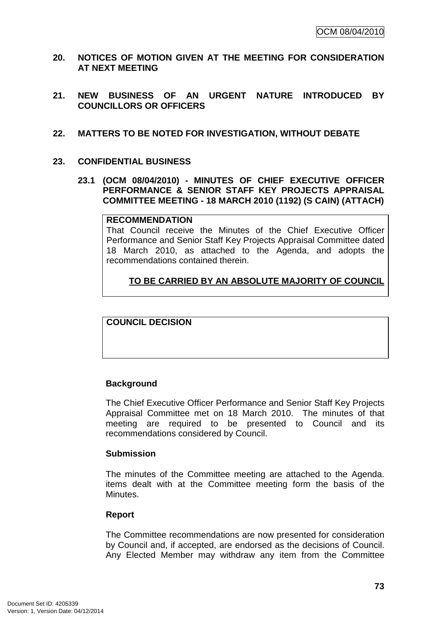- **20. NOTICES OF MOTION GIVEN AT THE MEETING FOR CONSIDERATION AT NEXT MEETING**
- **21. NEW BUSINESS OF AN URGENT NATURE INTRODUCED BY COUNCILLORS OR OFFICERS**
- **22. MATTERS TO BE NOTED FOR INVESTIGATION, WITHOUT DEBATE**
- **23. CONFIDENTIAL BUSINESS** 
	- **23.1 (OCM 08/04/2010) MINUTES OF CHIEF EXECUTIVE OFFICER PERFORMANCE & SENIOR STAFF KEY PROJECTS APPRAISAL COMMITTEE MEETING - 18 MARCH 2010 (1192) (S CAIN) (ATTACH)**

#### **RECOMMENDATION**

That Council receive the Minutes of the Chief Executive Officer Performance and Senior Staff Key Projects Appraisal Committee dated 18 March 2010, as attached to the Agenda, and adopts the recommendations contained therein.

# **TO BE CARRIED BY AN ABSOLUTE MAJORITY OF COUNCIL**

**COUNCIL DECISION** 

#### **Background**

The Chief Executive Officer Performance and Senior Staff Key Projects Appraisal Committee met on 18 March 2010. The minutes of that meeting are required to be presented to Council and its recommendations considered by Council.

#### **Submission**

The minutes of the Committee meeting are attached to the Agenda. items dealt with at the Committee meeting form the basis of the Minutes.

#### **Report**

The Committee recommendations are now presented for consideration by Council and, if accepted, are endorsed as the decisions of Council. Any Elected Member may withdraw any item from the Committee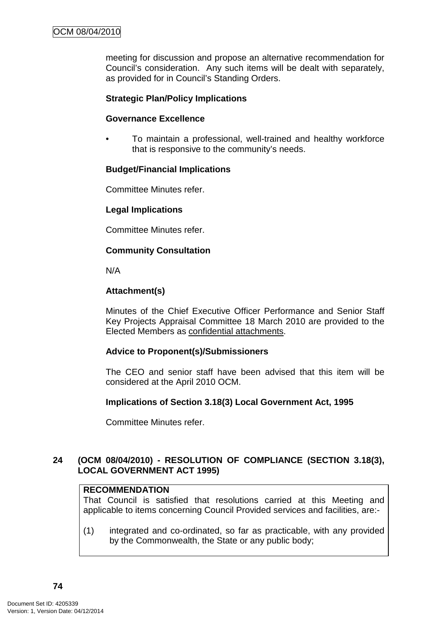meeting for discussion and propose an alternative recommendation for Council's consideration. Any such items will be dealt with separately, as provided for in Council's Standing Orders.

#### **Strategic Plan/Policy Implications**

#### **Governance Excellence**

• To maintain a professional, well-trained and healthy workforce that is responsive to the community's needs.

#### **Budget/Financial Implications**

Committee Minutes refer.

#### **Legal Implications**

Committee Minutes refer.

### **Community Consultation**

N/A

#### **Attachment(s)**

Minutes of the Chief Executive Officer Performance and Senior Staff Key Projects Appraisal Committee 18 March 2010 are provided to the Elected Members as confidential attachments.

#### **Advice to Proponent(s)/Submissioners**

The CEO and senior staff have been advised that this item will be considered at the April 2010 OCM.

#### **Implications of Section 3.18(3) Local Government Act, 1995**

Committee Minutes refer.

### **24 (OCM 08/04/2010) - RESOLUTION OF COMPLIANCE (SECTION 3.18(3), LOCAL GOVERNMENT ACT 1995)**

### **RECOMMENDATION**

That Council is satisfied that resolutions carried at this Meeting and applicable to items concerning Council Provided services and facilities, are:-

(1) integrated and co-ordinated, so far as practicable, with any provided by the Commonwealth, the State or any public body;